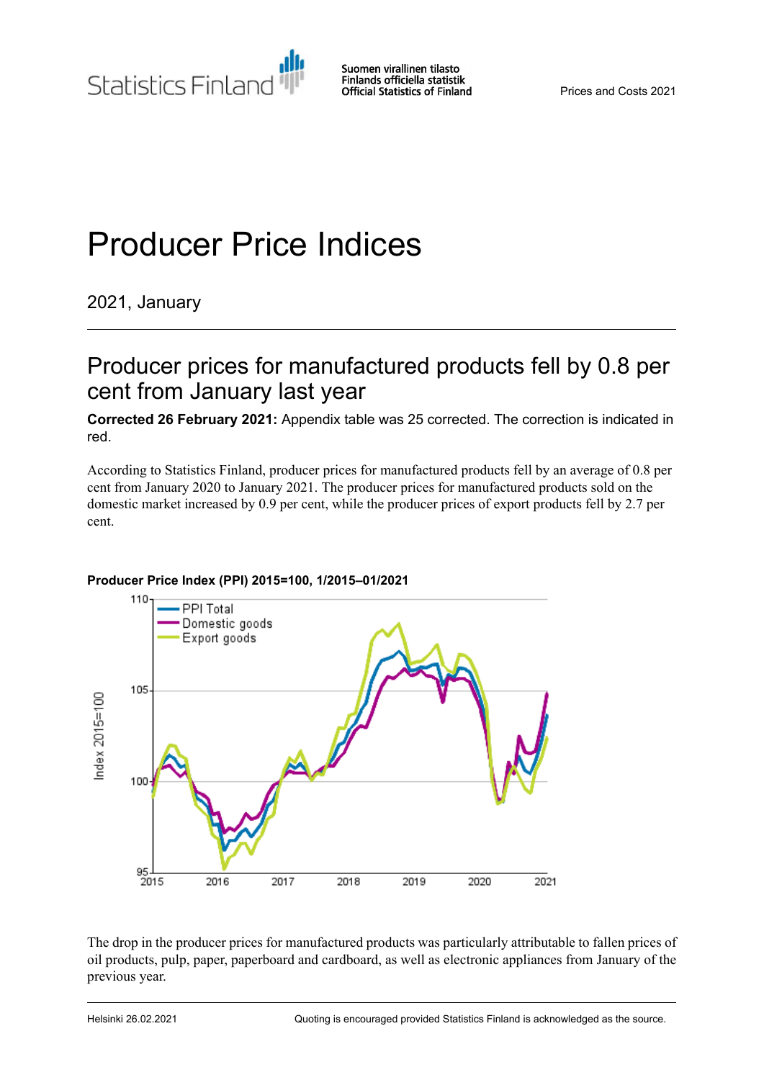# Producer Price Indices

2021, January

## Producer prices for manufactured products fell by 0.8 per cent from January last year

**Corrected 26 February 2021:** Appendix table was 25 corrected. The correction is indicated in red.

According to Statistics Finland, producer prices for manufactured products fell by an average of 0.8 per cent from January 2020 to January 2021. The producer prices for manufactured products sold on the domestic market increased by 0.9 per cent, while the producer prices of export products fell by 2.7 per cent.



### **Producer Price Index (PPI) 2015=100, 1/2015–01/2021**

The drop in the producer prices for manufactured products was particularly attributable to fallen prices of oil products, pulp, paper, paperboard and cardboard, as well as electronic appliances from January of the previous year.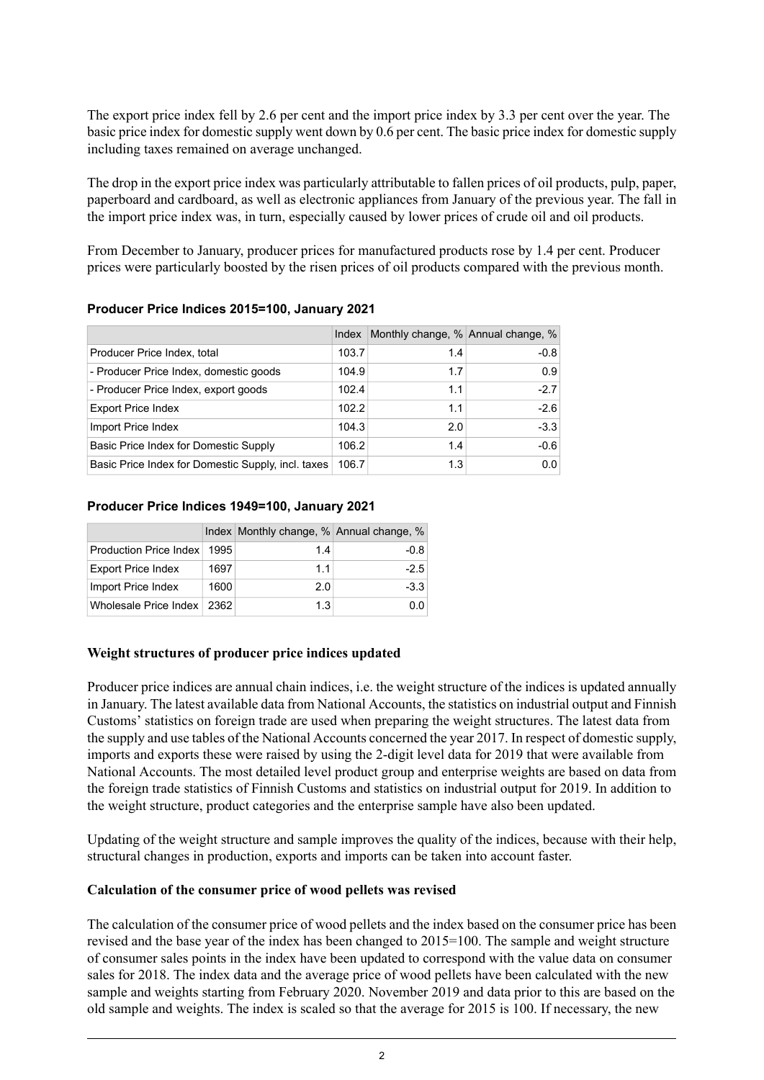The export price index fell by 2.6 per cent and the import price index by 3.3 per cent over the year. The basic price index for domestic supply went down by 0.6 per cent. The basic price index for domestic supply including taxes remained on average unchanged.

The drop in the export price index was particularly attributable to fallen prices of oil products, pulp, paper, paperboard and cardboard, as well as electronic appliances from January of the previous year. The fall in the import price index was, in turn, especially caused by lower prices of crude oil and oil products.

From December to January, producer prices for manufactured products rose by 1.4 per cent. Producer prices were particularly boosted by the risen prices of oil products compared with the previous month.

|                                                    | Index | Monthly change, % Annual change, % |        |
|----------------------------------------------------|-------|------------------------------------|--------|
| Producer Price Index, total                        | 103.7 | 1.4                                | $-0.8$ |
| - Producer Price Index, domestic goods             | 104.9 | 1.7                                | 0.9    |
| - Producer Price Index, export goods               | 102.4 | 1.1                                | $-2.7$ |
| <b>Export Price Index</b>                          | 102.2 | 1.1                                | $-2.6$ |
| Import Price Index                                 | 104.3 | 2.0                                | $-3.3$ |
| Basic Price Index for Domestic Supply              | 106.2 | 1.4                                | $-0.6$ |
| Basic Price Index for Domestic Supply, incl. taxes | 106.7 | 1.3                                | 0.0    |

#### **Producer Price Indices 2015=100, January 2021**

#### **Producer Price Indices 1949=100, January 2021**

|                              |      | Index Monthly change, % Annual change, % |        |
|------------------------------|------|------------------------------------------|--------|
| Production Price Index       | 1995 | 1.4                                      | $-0.8$ |
| <b>Export Price Index</b>    | 1697 | 11                                       | $-2.5$ |
| Import Price Index           | 1600 | 2.0                                      | $-3.3$ |
| Wholesale Price Index   2362 |      | 1.3                                      | 0.O    |

#### **Weight structures of producer price indices updated**

Producer price indices are annual chain indices, i.e. the weight structure of the indices is updated annually in January. The latest available data from National Accounts, the statistics on industrial output and Finnish Customs' statistics on foreign trade are used when preparing the weight structures. The latest data from the supply and use tables of the National Accounts concerned the year 2017. In respect of domestic supply, imports and exports these were raised by using the 2-digit level data for 2019 that were available from National Accounts. The most detailed level product group and enterprise weights are based on data from the foreign trade statistics of Finnish Customs and statistics on industrial output for 2019. In addition to the weight structure, product categories and the enterprise sample have also been updated.

Updating of the weight structure and sample improves the quality of the indices, because with their help, structural changes in production, exports and imports can be taken into account faster.

#### **Calculation of the consumer price of wood pellets was revised**

The calculation of the consumer price of wood pellets and the index based on the consumer price has been revised and the base year of the index has been changed to 2015=100. The sample and weight structure of consumer sales points in the index have been updated to correspond with the value data on consumer sales for 2018. The index data and the average price of wood pellets have been calculated with the new sample and weights starting from February 2020. November 2019 and data prior to this are based on the old sample and weights. The index is scaled so that the average for 2015 is 100. If necessary, the new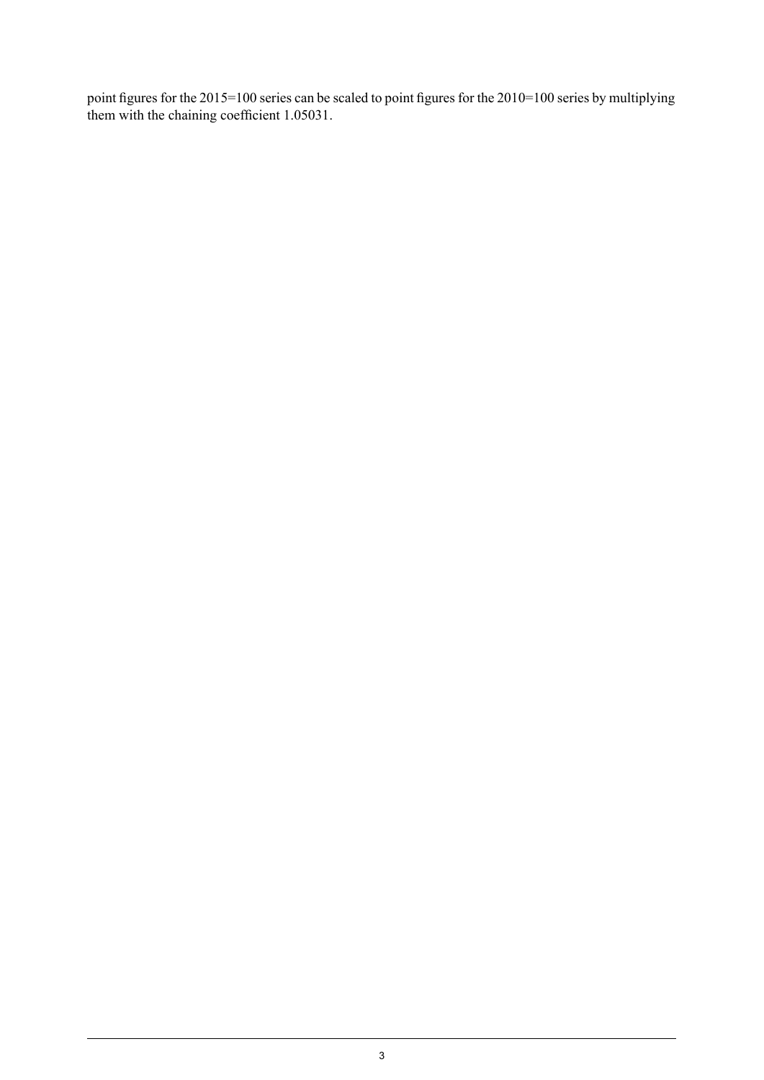point figures for the 2015=100 series can be scaled to point figures for the 2010=100 series by multiplying them with the chaining coefficient 1.05031.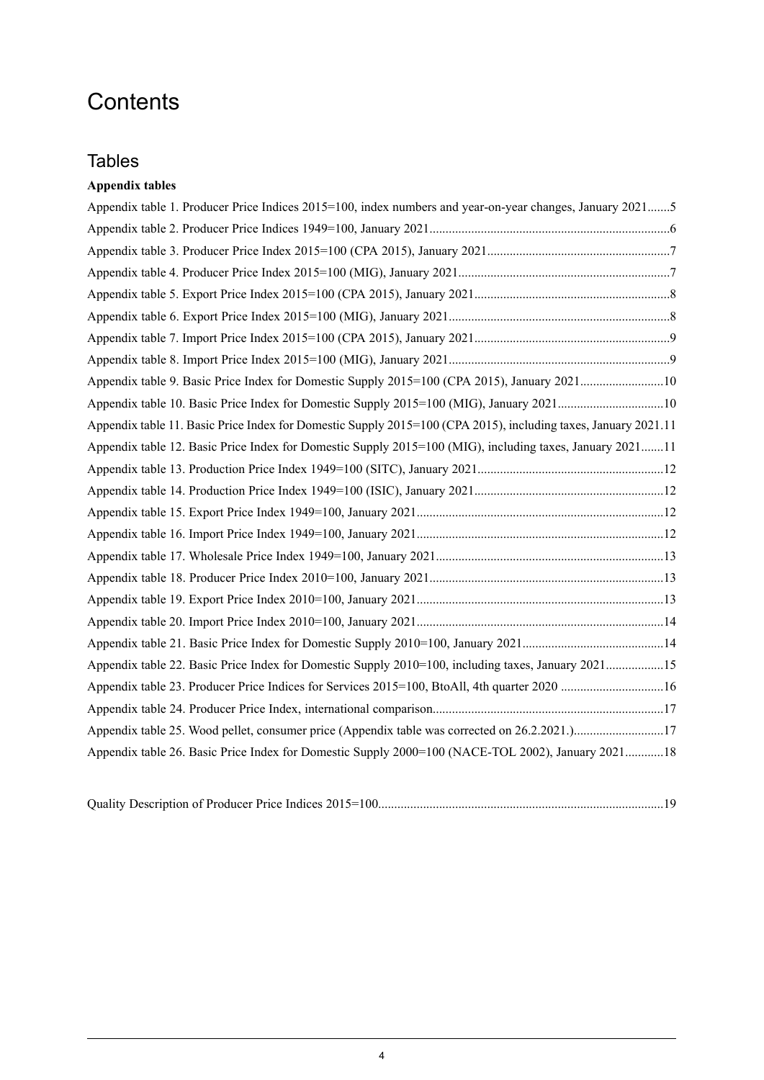## **Contents**

## **Tables**

## **Appendix tables**

| Appendix table 1. Producer Price Indices 2015=100, index numbers and year-on-year changes, January 20215       |  |
|----------------------------------------------------------------------------------------------------------------|--|
|                                                                                                                |  |
|                                                                                                                |  |
|                                                                                                                |  |
|                                                                                                                |  |
|                                                                                                                |  |
|                                                                                                                |  |
|                                                                                                                |  |
| Appendix table 9. Basic Price Index for Domestic Supply 2015=100 (CPA 2015), January 202110                    |  |
|                                                                                                                |  |
| Appendix table 11. Basic Price Index for Domestic Supply 2015=100 (CPA 2015), including taxes, January 2021.11 |  |
| Appendix table 12. Basic Price Index for Domestic Supply 2015=100 (MIG), including taxes, January 202111       |  |
|                                                                                                                |  |
|                                                                                                                |  |
|                                                                                                                |  |
|                                                                                                                |  |
|                                                                                                                |  |
|                                                                                                                |  |
|                                                                                                                |  |
|                                                                                                                |  |
|                                                                                                                |  |
| Appendix table 22. Basic Price Index for Domestic Supply 2010=100, including taxes, January 202115             |  |
|                                                                                                                |  |
|                                                                                                                |  |
|                                                                                                                |  |
| Appendix table 26. Basic Price Index for Domestic Supply 2000=100 (NACE-TOL 2002), January 202118              |  |

|--|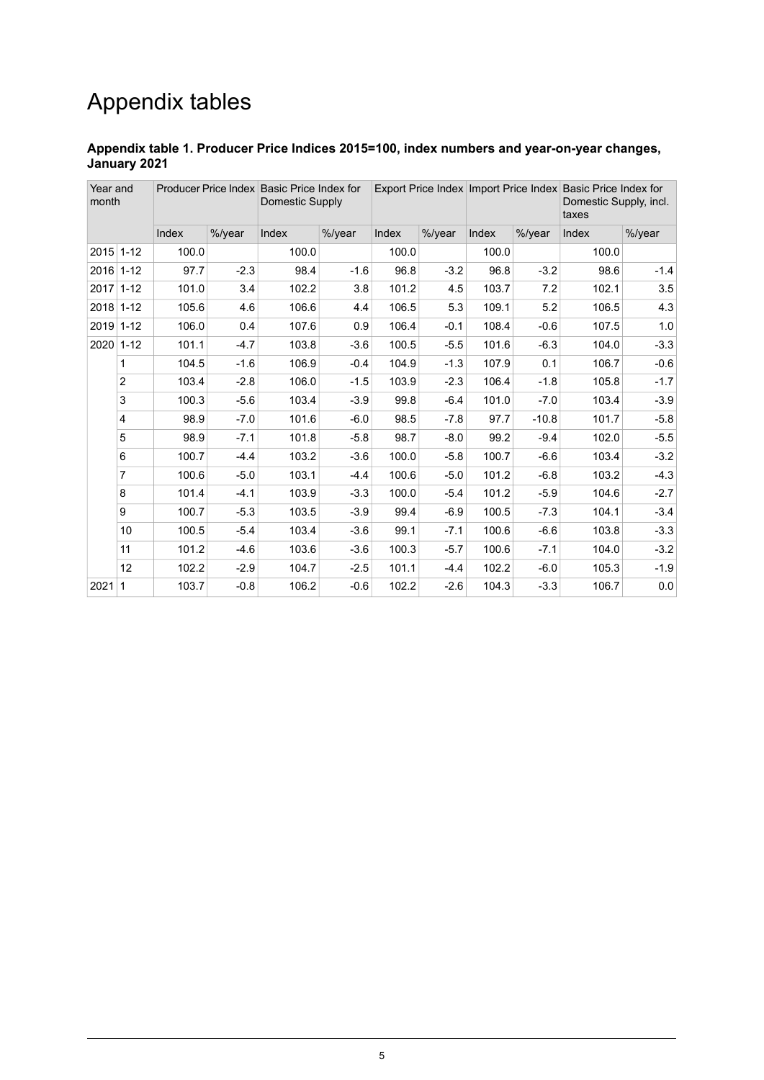## Appendix tables

#### <span id="page-4-0"></span>**Appendix table 1. Producer Price Indices 2015=100, index numbers and year-on-year changes, January 2021**

| Year and<br>month |                |       |        | Producer Price Index Basic Price Index for<br>Domestic Supply |        |       |        |       |         | Export Price Index Import Price Index Basic Price Index for<br>Domestic Supply, incl.<br>taxes |         |
|-------------------|----------------|-------|--------|---------------------------------------------------------------|--------|-------|--------|-------|---------|------------------------------------------------------------------------------------------------|---------|
|                   |                | Index | %/year | Index                                                         | %/year | Index | %/year | Index | %/year  | Index                                                                                          | %/year  |
| 2015 1-12         |                | 100.0 |        | 100.0                                                         |        | 100.0 |        | 100.0 |         | 100.0                                                                                          |         |
| 2016 1-12         |                | 97.7  | $-2.3$ | 98.4                                                          | $-1.6$ | 96.8  | $-3.2$ | 96.8  | $-3.2$  | 98.6                                                                                           | $-1.4$  |
| $2017$ 1-12       |                | 101.0 | 3.4    | 102.2                                                         | 3.8    | 101.2 | 4.5    | 103.7 | 7.2     | 102.1                                                                                          | 3.5     |
| 2018 1-12         |                | 105.6 | 4.6    | 106.6                                                         | 4.4    | 106.5 | 5.3    | 109.1 | 5.2     | 106.5                                                                                          | 4.3     |
| 2019 1-12         |                | 106.0 | 0.4    | 107.6                                                         | 0.9    | 106.4 | $-0.1$ | 108.4 | $-0.6$  | 107.5                                                                                          | 1.0     |
| 2020 1-12         |                | 101.1 | $-4.7$ | 103.8                                                         | $-3.6$ | 100.5 | $-5.5$ | 101.6 | $-6.3$  | 104.0                                                                                          | $-3.3$  |
|                   | 1              | 104.5 | $-1.6$ | 106.9                                                         | $-0.4$ | 104.9 | $-1.3$ | 107.9 | 0.1     | 106.7                                                                                          | $-0.6$  |
|                   | $\overline{2}$ | 103.4 | $-2.8$ | 106.0                                                         | $-1.5$ | 103.9 | $-2.3$ | 106.4 | $-1.8$  | 105.8                                                                                          | $-1.7$  |
|                   | 3              | 100.3 | $-5.6$ | 103.4                                                         | $-3.9$ | 99.8  | $-6.4$ | 101.0 | $-7.0$  | 103.4                                                                                          | $-3.9$  |
|                   | 4              | 98.9  | $-7.0$ | 101.6                                                         | $-6.0$ | 98.5  | $-7.8$ | 97.7  | $-10.8$ | 101.7                                                                                          | $-5.8$  |
|                   | 5              | 98.9  | $-7.1$ | 101.8                                                         | $-5.8$ | 98.7  | $-8.0$ | 99.2  | $-9.4$  | 102.0                                                                                          | $-5.5$  |
|                   | 6              | 100.7 | $-4.4$ | 103.2                                                         | $-3.6$ | 100.0 | $-5.8$ | 100.7 | $-6.6$  | 103.4                                                                                          | $-3.2$  |
|                   | $\overline{7}$ | 100.6 | $-5.0$ | 103.1                                                         | $-4.4$ | 100.6 | $-5.0$ | 101.2 | $-6.8$  | 103.2                                                                                          | $-4.3$  |
|                   | 8              | 101.4 | $-4.1$ | 103.9                                                         | $-3.3$ | 100.0 | $-5.4$ | 101.2 | $-5.9$  | 104.6                                                                                          | $-2.7$  |
|                   | 9              | 100.7 | $-5.3$ | 103.5                                                         | $-3.9$ | 99.4  | $-6.9$ | 100.5 | $-7.3$  | 104.1                                                                                          | $-3.4$  |
|                   | 10             | 100.5 | $-5.4$ | 103.4                                                         | $-3.6$ | 99.1  | $-7.1$ | 100.6 | $-6.6$  | 103.8                                                                                          | $-3.3$  |
|                   | 11             | 101.2 | $-4.6$ | 103.6                                                         | $-3.6$ | 100.3 | $-5.7$ | 100.6 | $-7.1$  | 104.0                                                                                          | $-3.2$  |
|                   | 12             | 102.2 | $-2.9$ | 104.7                                                         | $-2.5$ | 101.1 | $-4.4$ | 102.2 | $-6.0$  | 105.3                                                                                          | $-1.9$  |
| $2021$ 1          |                | 103.7 | $-0.8$ | 106.2                                                         | $-0.6$ | 102.2 | $-2.6$ | 104.3 | $-3.3$  | 106.7                                                                                          | $0.0\,$ |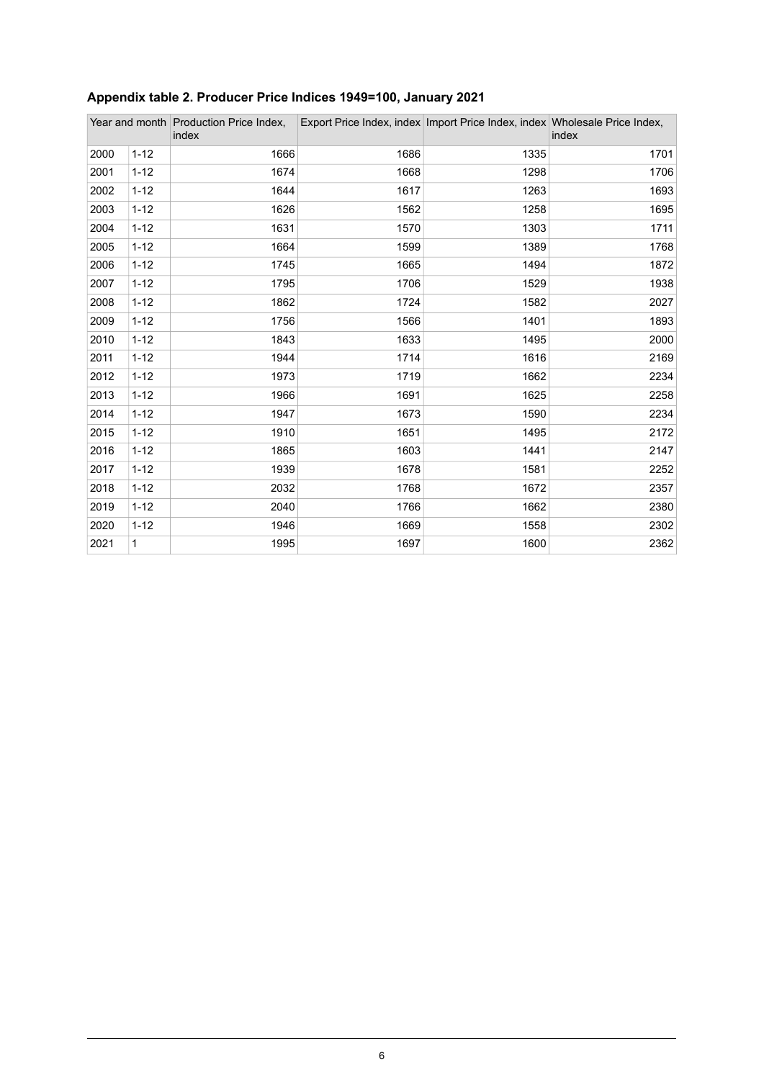|      |              | Year and month Production Price Index,<br>index |      | Export Price Index, index Import Price Index, index Wholesale Price Index, | index |
|------|--------------|-------------------------------------------------|------|----------------------------------------------------------------------------|-------|
| 2000 | $1 - 12$     | 1666                                            | 1686 | 1335                                                                       | 1701  |
| 2001 | $1 - 12$     | 1674                                            | 1668 | 1298                                                                       | 1706  |
| 2002 | $1 - 12$     | 1644                                            | 1617 | 1263                                                                       | 1693  |
| 2003 | $1 - 12$     | 1626                                            | 1562 | 1258                                                                       | 1695  |
| 2004 | $1 - 12$     | 1631                                            | 1570 | 1303                                                                       | 1711  |
| 2005 | $1 - 12$     | 1664                                            | 1599 | 1389                                                                       | 1768  |
| 2006 | $1 - 12$     | 1745                                            | 1665 | 1494                                                                       | 1872  |
| 2007 | $1 - 12$     | 1795                                            | 1706 | 1529                                                                       | 1938  |
| 2008 | $1 - 12$     | 1862                                            | 1724 | 1582                                                                       | 2027  |
| 2009 | $1 - 12$     | 1756                                            | 1566 | 1401                                                                       | 1893  |
| 2010 | $1 - 12$     | 1843                                            | 1633 | 1495                                                                       | 2000  |
| 2011 | $1 - 12$     | 1944                                            | 1714 | 1616                                                                       | 2169  |
| 2012 | $1 - 12$     | 1973                                            | 1719 | 1662                                                                       | 2234  |
| 2013 | $1 - 12$     | 1966                                            | 1691 | 1625                                                                       | 2258  |
| 2014 | $1 - 12$     | 1947                                            | 1673 | 1590                                                                       | 2234  |
| 2015 | $1 - 12$     | 1910                                            | 1651 | 1495                                                                       | 2172  |
| 2016 | $1 - 12$     | 1865                                            | 1603 | 1441                                                                       | 2147  |
| 2017 | $1 - 12$     | 1939                                            | 1678 | 1581                                                                       | 2252  |
| 2018 | $1 - 12$     | 2032                                            | 1768 | 1672                                                                       | 2357  |
| 2019 | $1 - 12$     | 2040                                            | 1766 | 1662                                                                       | 2380  |
| 2020 | $1 - 12$     | 1946                                            | 1669 | 1558                                                                       | 2302  |
| 2021 | $\mathbf{1}$ | 1995                                            | 1697 | 1600                                                                       | 2362  |

## <span id="page-5-0"></span>**Appendix table 2. Producer Price Indices 1949=100, January 2021**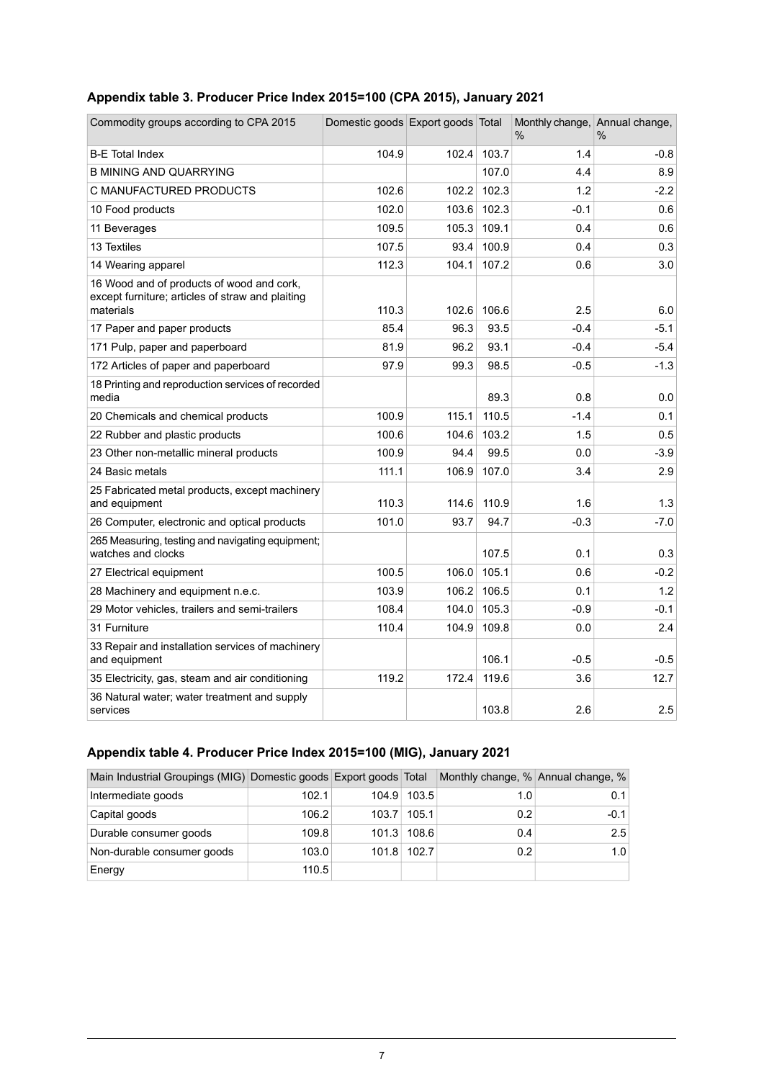## <span id="page-6-0"></span>**Appendix table 3. Producer Price Index 2015=100 (CPA 2015), January 2021**

| Commodity groups according to CPA 2015                                                                     | Domestic goods Export goods Total |       |       | Monthly change, Annual change,<br>$\%$ | $\%$   |
|------------------------------------------------------------------------------------------------------------|-----------------------------------|-------|-------|----------------------------------------|--------|
| <b>B-E</b> Total Index                                                                                     | 104.9                             | 102.4 | 103.7 | 1.4                                    | $-0.8$ |
| <b>B MINING AND QUARRYING</b>                                                                              |                                   |       | 107.0 | 4.4                                    | 8.9    |
| C MANUFACTURED PRODUCTS                                                                                    | 102.6                             | 102.2 | 102.3 | 1.2                                    | $-2.2$ |
| 10 Food products                                                                                           | 102.0                             | 103.6 | 102.3 | $-0.1$                                 | 0.6    |
| 11 Beverages                                                                                               | 109.5                             | 105.3 | 109.1 | 0.4                                    | 0.6    |
| 13 Textiles                                                                                                | 107.5                             | 93.4  | 100.9 | 0.4                                    | 0.3    |
| 14 Wearing apparel                                                                                         | 112.3                             | 104.1 | 107.2 | 0.6                                    | 3.0    |
| 16 Wood and of products of wood and cork,<br>except furniture; articles of straw and plaiting<br>materials | 110.3                             | 102.6 | 106.6 | 2.5                                    | 6.0    |
| 17 Paper and paper products                                                                                | 85.4                              | 96.3  | 93.5  | $-0.4$                                 | $-5.1$ |
| 171 Pulp, paper and paperboard                                                                             | 81.9                              | 96.2  | 93.1  | $-0.4$                                 | $-5.4$ |
| 172 Articles of paper and paperboard                                                                       | 97.9                              | 99.3  | 98.5  | $-0.5$                                 | $-1.3$ |
| 18 Printing and reproduction services of recorded<br>media                                                 |                                   |       | 89.3  | 0.8                                    | 0.0    |
| 20 Chemicals and chemical products                                                                         | 100.9                             | 115.1 | 110.5 | $-1.4$                                 | 0.1    |
| 22 Rubber and plastic products                                                                             | 100.6                             | 104.6 | 103.2 | 1.5                                    | 0.5    |
| 23 Other non-metallic mineral products                                                                     | 100.9                             | 94.4  | 99.5  | 0.0                                    | $-3.9$ |
| 24 Basic metals                                                                                            | 111.1                             | 106.9 | 107.0 | 3.4                                    | 2.9    |
| 25 Fabricated metal products, except machinery<br>and equipment                                            | 110.3                             | 114.6 | 110.9 | 1.6                                    | 1.3    |
| 26 Computer, electronic and optical products                                                               | 101.0                             | 93.7  | 94.7  | $-0.3$                                 | $-7.0$ |
| 265 Measuring, testing and navigating equipment;<br>watches and clocks                                     |                                   |       | 107.5 | 0.1                                    | 0.3    |
| 27 Electrical equipment                                                                                    | 100.5                             | 106.0 | 105.1 | 0.6                                    | $-0.2$ |
| 28 Machinery and equipment n.e.c.                                                                          | 103.9                             | 106.2 | 106.5 | 0.1                                    | 1.2    |
| 29 Motor vehicles, trailers and semi-trailers                                                              | 108.4                             | 104.0 | 105.3 | $-0.9$                                 | $-0.1$ |
| 31 Furniture                                                                                               | 110.4                             | 104.9 | 109.8 | 0.0                                    | 2.4    |
| 33 Repair and installation services of machinery<br>and equipment                                          |                                   |       | 106.1 | $-0.5$                                 | $-0.5$ |
| 35 Electricity, gas, steam and air conditioning                                                            | 119.2                             | 172.4 | 119.6 | 3.6                                    | 12.7   |
| 36 Natural water; water treatment and supply<br>services                                                   |                                   |       | 103.8 | 2.6                                    | 2.5    |

## <span id="page-6-1"></span>**Appendix table 4. Producer Price Index 2015=100 (MIG), January 2021**

| Main Industrial Groupings (MIG) Domestic goods Export goods Total |       |       |       | Monthly change, % Annual change, % |        |
|-------------------------------------------------------------------|-------|-------|-------|------------------------------------|--------|
| Intermediate goods                                                | 102.1 | 104.9 | 103.5 | 1.0                                | 0.1    |
| Capital goods                                                     | 106.2 | 103.7 | 105.1 | 0.2                                | $-0.1$ |
| Durable consumer goods                                            | 109.8 | 101.3 | 108.6 | 0.4                                | 2.5    |
| Non-durable consumer goods                                        | 103.0 | 101.8 | 102.7 | 0.2                                | 1.0    |
| Energy                                                            | 110.5 |       |       |                                    |        |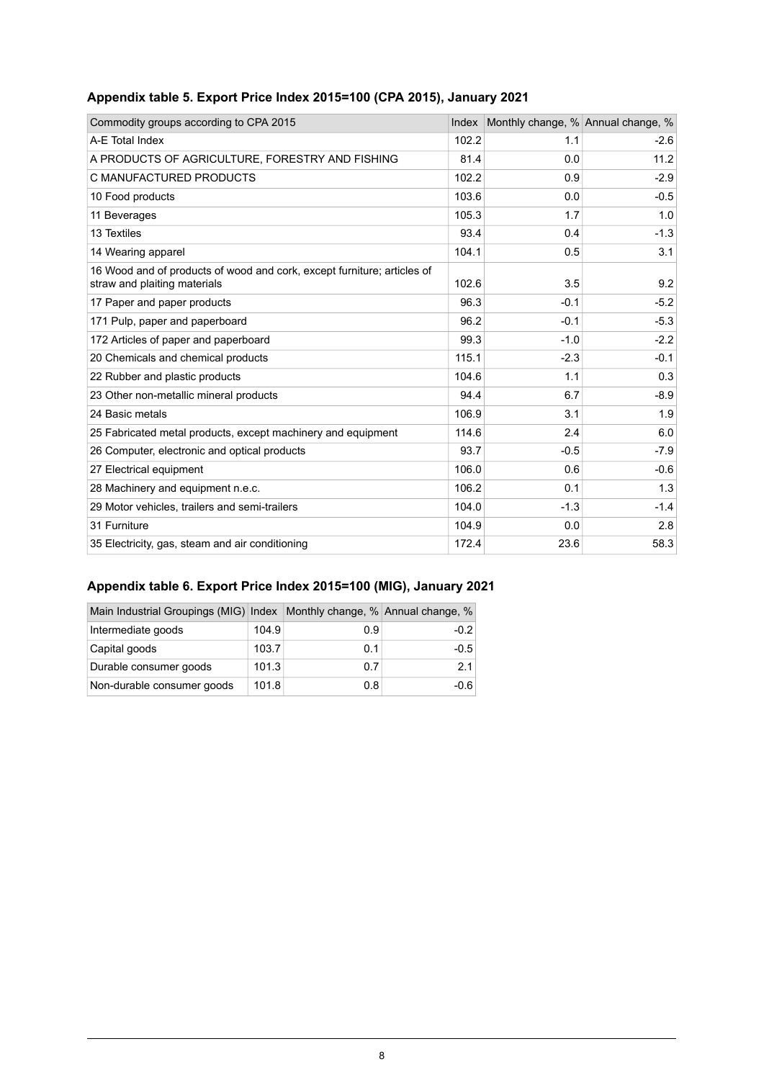| Commodity groups according to CPA 2015                                                                  | Index | Monthly change, % Annual change, % |        |
|---------------------------------------------------------------------------------------------------------|-------|------------------------------------|--------|
| A-E Total Index                                                                                         | 102.2 | 1.1                                | $-2.6$ |
| A PRODUCTS OF AGRICULTURE, FORESTRY AND FISHING                                                         | 81.4  | 0.0                                | 11.2   |
| C MANUFACTURED PRODUCTS                                                                                 | 102.2 | 0.9                                | $-2.9$ |
| 10 Food products                                                                                        | 103.6 | 0.0                                | $-0.5$ |
| 11 Beverages                                                                                            | 105.3 | 1.7                                | 1.0    |
| 13 Textiles                                                                                             | 93.4  | 0.4                                | $-1.3$ |
| 14 Wearing apparel                                                                                      | 104.1 | 0.5                                | 3.1    |
| 16 Wood and of products of wood and cork, except furniture; articles of<br>straw and plaiting materials | 102.6 | 3.5                                | 9.2    |
| 17 Paper and paper products                                                                             | 96.3  | $-0.1$                             | $-5.2$ |
| 171 Pulp, paper and paperboard                                                                          | 96.2  | $-0.1$                             | $-5.3$ |
| 172 Articles of paper and paperboard                                                                    | 99.3  | $-1.0$                             | $-2.2$ |
| 20 Chemicals and chemical products                                                                      | 115.1 | $-2.3$                             | $-0.1$ |
| 22 Rubber and plastic products                                                                          | 104.6 | 1.1                                | 0.3    |
| 23 Other non-metallic mineral products                                                                  | 94.4  | 6.7                                | $-8.9$ |
| 24 Basic metals                                                                                         | 106.9 | 3.1                                | 1.9    |
| 25 Fabricated metal products, except machinery and equipment                                            | 114.6 | 2.4                                | 6.0    |
| 26 Computer, electronic and optical products                                                            | 93.7  | $-0.5$                             | $-7.9$ |
| 27 Electrical equipment                                                                                 | 106.0 | 0.6                                | $-0.6$ |
| 28 Machinery and equipment n.e.c.                                                                       | 106.2 | 0.1                                | 1.3    |
| 29 Motor vehicles, trailers and semi-trailers                                                           | 104.0 | $-1.3$                             | $-1.4$ |
| 31 Furniture                                                                                            | 104.9 | 0.0                                | 2.8    |
| 35 Electricity, gas, steam and air conditioning                                                         | 172.4 | 23.6                               | 58.3   |

## <span id="page-7-0"></span>**Appendix table 5. Export Price Index 2015=100 (CPA 2015), January 2021**

## <span id="page-7-1"></span>**Appendix table 6. Export Price Index 2015=100 (MIG), January 2021**

| Main Industrial Groupings (MIG) Index   Monthly change, % Annual change, % |       |     |        |
|----------------------------------------------------------------------------|-------|-----|--------|
| Intermediate goods                                                         | 104.9 | 0.9 | -0.2   |
| Capital goods                                                              | 103.7 | 0.1 | $-0.5$ |
| Durable consumer goods                                                     | 101.3 | 0.7 | 2.1    |
| Non-durable consumer goods                                                 | 101.8 | 0.8 | -0.6   |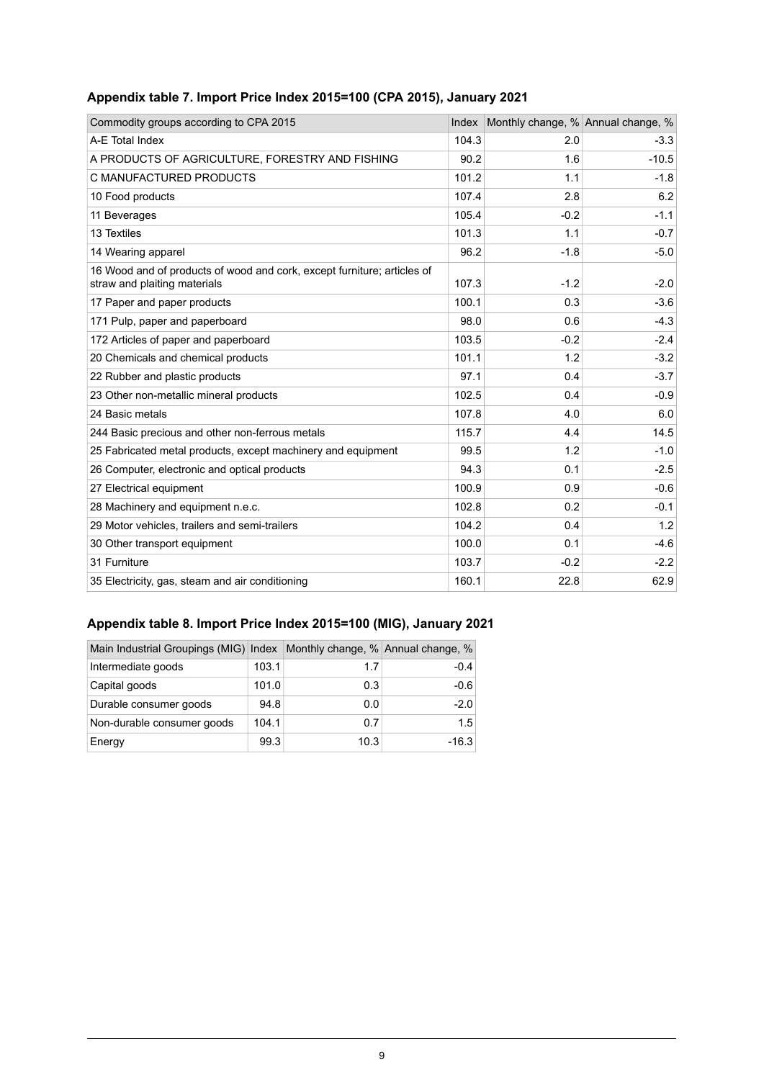| Commodity groups according to CPA 2015                                                                  | Index | Monthly change, % Annual change, % |         |
|---------------------------------------------------------------------------------------------------------|-------|------------------------------------|---------|
| A-E Total Index                                                                                         | 104.3 | 2.0                                | $-3.3$  |
| A PRODUCTS OF AGRICULTURE, FORESTRY AND FISHING                                                         | 90.2  | 1.6                                | $-10.5$ |
| C MANUFACTURED PRODUCTS                                                                                 | 101.2 | 1.1                                | $-1.8$  |
| 10 Food products                                                                                        | 107.4 | 2.8                                | 6.2     |
| 11 Beverages                                                                                            | 105.4 | $-0.2$                             | $-1.1$  |
| 13 Textiles                                                                                             | 101.3 | 1.1                                | $-0.7$  |
| 14 Wearing apparel                                                                                      | 96.2  | $-1.8$                             | $-5.0$  |
| 16 Wood and of products of wood and cork, except furniture; articles of<br>straw and plaiting materials | 107.3 | $-1.2$                             | $-2.0$  |
| 17 Paper and paper products                                                                             | 100.1 | 0.3                                | $-3.6$  |
| 171 Pulp, paper and paperboard                                                                          | 98.0  | 0.6                                | $-4.3$  |
| 172 Articles of paper and paperboard                                                                    | 103.5 | $-0.2$                             | $-2.4$  |
| 20 Chemicals and chemical products                                                                      | 101.1 | 1.2                                | $-3.2$  |
| 22 Rubber and plastic products                                                                          | 97.1  | 0.4                                | $-3.7$  |
| 23 Other non-metallic mineral products                                                                  | 102.5 | 0.4                                | $-0.9$  |
| 24 Basic metals                                                                                         | 107.8 | 4.0                                | 6.0     |
| 244 Basic precious and other non-ferrous metals                                                         | 115.7 | 4.4                                | 14.5    |
| 25 Fabricated metal products, except machinery and equipment                                            | 99.5  | 1.2                                | $-1.0$  |
| 26 Computer, electronic and optical products                                                            | 94.3  | 0.1                                | $-2.5$  |
| 27 Electrical equipment                                                                                 | 100.9 | 0.9                                | $-0.6$  |
| 28 Machinery and equipment n.e.c.                                                                       | 102.8 | 0.2                                | $-0.1$  |
| 29 Motor vehicles, trailers and semi-trailers                                                           | 104.2 | 0.4                                | 1.2     |
| 30 Other transport equipment                                                                            | 100.0 | 0.1                                | $-4.6$  |
| 31 Furniture                                                                                            | 103.7 | $-0.2$                             | $-2.2$  |
| 35 Electricity, gas, steam and air conditioning                                                         | 160.1 | 22.8                               | 62.9    |

## <span id="page-8-0"></span>**Appendix table 7. Import Price Index 2015=100 (CPA 2015), January 2021**

## <span id="page-8-1"></span>**Appendix table 8. Import Price Index 2015=100 (MIG), January 2021**

| Main Industrial Groupings (MIG) Index   Monthly change, % Annual change, % |       |      |         |
|----------------------------------------------------------------------------|-------|------|---------|
| Intermediate goods                                                         | 103.1 | 1.7  | $-0.4$  |
| Capital goods                                                              | 101.0 | 0.3  | $-0.6$  |
| Durable consumer goods                                                     | 94.8  | 0.0  | $-2.0$  |
| Non-durable consumer goods                                                 | 104.1 | 0.7  | 1.5     |
| Energy                                                                     | 99.3  | 10.3 | $-16.3$ |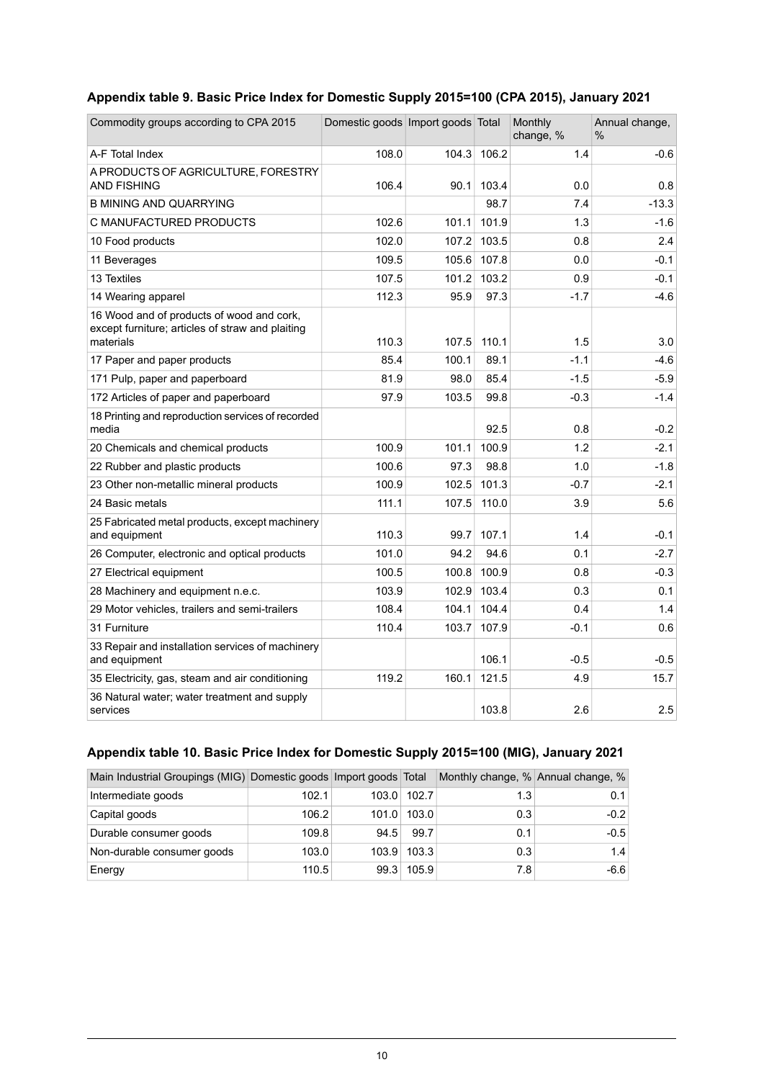## <span id="page-9-0"></span>**Appendix table 9. Basic Price Index for Domestic Supply 2015=100 (CPA 2015), January 2021**

| Commodity groups according to CPA 2015                                                                     | Domestic goods   Import goods   Total |       |       | Monthly<br>change, % | Annual change,<br>$\%$ |
|------------------------------------------------------------------------------------------------------------|---------------------------------------|-------|-------|----------------------|------------------------|
| A-F Total Index                                                                                            | 108.0                                 | 104.3 | 106.2 | 1.4                  | $-0.6$                 |
| A PRODUCTS OF AGRICULTURE, FORESTRY<br><b>AND FISHING</b>                                                  | 106.4                                 | 90.1  | 103.4 | 0.0                  | 0.8                    |
| <b>B MINING AND QUARRYING</b>                                                                              |                                       |       | 98.7  | 7.4                  | $-13.3$                |
| C MANUFACTURED PRODUCTS                                                                                    | 102.6                                 | 101.1 | 101.9 | 1.3                  | $-1.6$                 |
| 10 Food products                                                                                           | 102.0                                 | 107.2 | 103.5 | 0.8                  | 2.4                    |
| 11 Beverages                                                                                               | 109.5                                 | 105.6 | 107.8 | 0.0                  | $-0.1$                 |
| 13 Textiles                                                                                                | 107.5                                 | 101.2 | 103.2 | 0.9                  | $-0.1$                 |
| 14 Wearing apparel                                                                                         | 112.3                                 | 95.9  | 97.3  | $-1.7$               | $-4.6$                 |
| 16 Wood and of products of wood and cork,<br>except furniture; articles of straw and plaiting<br>materials | 110.3                                 | 107.5 | 110.1 | 1.5                  | 3.0                    |
| 17 Paper and paper products                                                                                | 85.4                                  | 100.1 | 89.1  | $-1.1$               | $-4.6$                 |
| 171 Pulp, paper and paperboard                                                                             | 81.9                                  | 98.0  | 85.4  | $-1.5$               | $-5.9$                 |
| 172 Articles of paper and paperboard                                                                       | 97.9                                  | 103.5 | 99.8  | $-0.3$               | $-1.4$                 |
| 18 Printing and reproduction services of recorded<br>media                                                 |                                       |       | 92.5  | 0.8                  | $-0.2$                 |
| 20 Chemicals and chemical products                                                                         | 100.9                                 | 101.1 | 100.9 | 1.2                  | $-2.1$                 |
| 22 Rubber and plastic products                                                                             | 100.6                                 | 97.3  | 98.8  | 1.0                  | $-1.8$                 |
| 23 Other non-metallic mineral products                                                                     | 100.9                                 | 102.5 | 101.3 | $-0.7$               | $-2.1$                 |
| 24 Basic metals                                                                                            | 111.1                                 | 107.5 | 110.0 | 3.9                  | 5.6                    |
| 25 Fabricated metal products, except machinery<br>and equipment                                            | 110.3                                 | 99.7  | 107.1 | 1.4                  | $-0.1$                 |
| 26 Computer, electronic and optical products                                                               | 101.0                                 | 94.2  | 94.6  | 0.1                  | $-2.7$                 |
| 27 Electrical equipment                                                                                    | 100.5                                 | 100.8 | 100.9 | 0.8                  | $-0.3$                 |
| 28 Machinery and equipment n.e.c.                                                                          | 103.9                                 | 102.9 | 103.4 | 0.3                  | 0.1                    |
| 29 Motor vehicles, trailers and semi-trailers                                                              | 108.4                                 | 104.1 | 104.4 | 0.4                  | 1.4                    |
| 31 Furniture                                                                                               | 110.4                                 | 103.7 | 107.9 | $-0.1$               | 0.6                    |
| 33 Repair and installation services of machinery<br>and equipment                                          |                                       |       | 106.1 | $-0.5$               | $-0.5$                 |
| 35 Electricity, gas, steam and air conditioning                                                            | 119.2                                 | 160.1 | 121.5 | 4.9                  | 15.7                   |
| 36 Natural water; water treatment and supply<br>services                                                   |                                       |       | 103.8 | 2.6                  | 2.5                    |

## <span id="page-9-1"></span>**Appendix table 10. Basic Price Index for Domestic Supply 2015=100 (MIG), January 2021**

| Main Industrial Groupings (MIG) Domestic goods Import goods Total |       |       |       | Monthly change, % Annual change, % |        |
|-------------------------------------------------------------------|-------|-------|-------|------------------------------------|--------|
| Intermediate goods                                                | 102.1 | 103.0 | 102.7 | 1.3                                | 0.1    |
| Capital goods                                                     | 106.2 | 101.0 | 103.0 | 0.3                                | $-0.2$ |
| Durable consumer goods                                            | 109.8 | 94.5  | 99.7  | 0.1                                | $-0.5$ |
| Non-durable consumer goods                                        | 103.0 | 103.9 | 103.3 | 0.3                                | 1.4    |
| Energy                                                            | 110.5 | 99.3  | 105.9 | 7.8                                | $-6.6$ |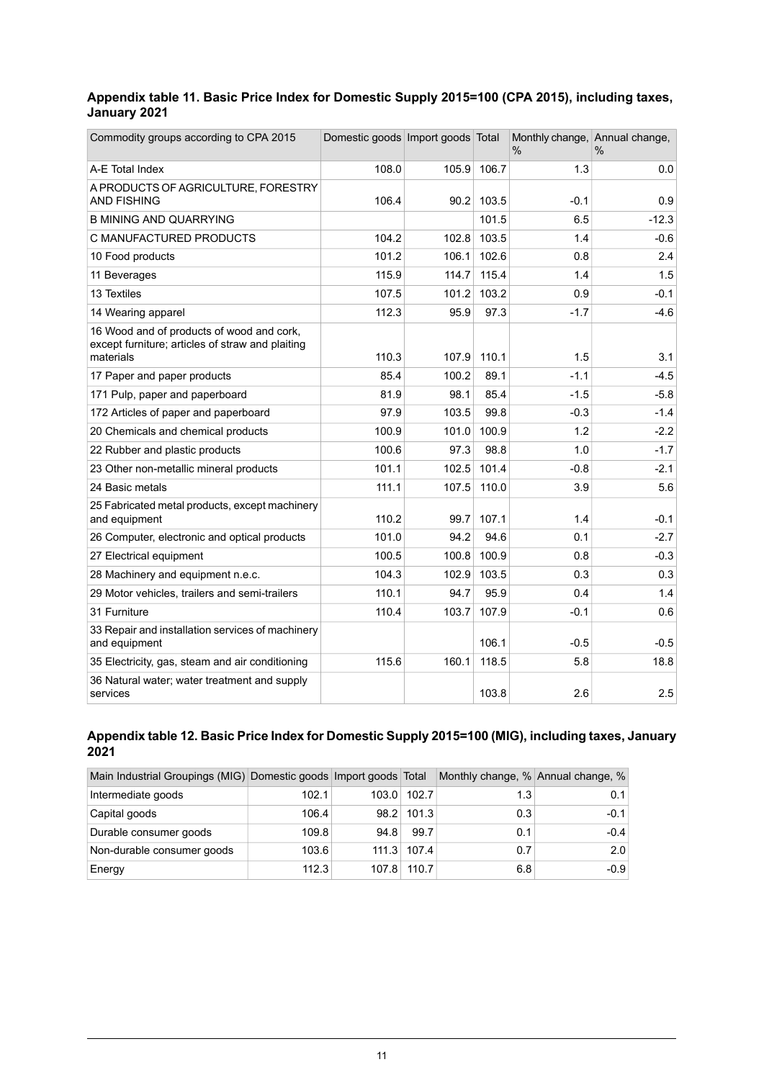#### <span id="page-10-0"></span>**Appendix table 11. Basic Price Index for Domestic Supply 2015=100 (CPA 2015), including taxes, January 2021**

| Commodity groups according to CPA 2015                                                                     | Domestic goods Import goods Total |       |       | Monthly change, Annual change,<br>$\%$ | $\%$    |
|------------------------------------------------------------------------------------------------------------|-----------------------------------|-------|-------|----------------------------------------|---------|
| A-E Total Index                                                                                            | 108.0                             | 105.9 | 106.7 | 1.3                                    | 0.0     |
| A PRODUCTS OF AGRICULTURE, FORESTRY<br><b>AND FISHING</b>                                                  | 106.4                             | 90.2  | 103.5 | $-0.1$                                 | 0.9     |
| <b>B MINING AND QUARRYING</b>                                                                              |                                   |       | 101.5 | 6.5                                    | $-12.3$ |
| C MANUFACTURED PRODUCTS                                                                                    | 104.2                             | 102.8 | 103.5 | 1.4                                    | $-0.6$  |
| 10 Food products                                                                                           | 101.2                             | 106.1 | 102.6 | 0.8                                    | 2.4     |
| 11 Beverages                                                                                               | 115.9                             | 114.7 | 115.4 | 1.4                                    | 1.5     |
| 13 Textiles                                                                                                | 107.5                             | 101.2 | 103.2 | 0.9                                    | $-0.1$  |
| 14 Wearing apparel                                                                                         | 112.3                             | 95.9  | 97.3  | $-1.7$                                 | $-4.6$  |
| 16 Wood and of products of wood and cork,<br>except furniture; articles of straw and plaiting<br>materials | 110.3                             | 107.9 | 110.1 | 1.5                                    | 3.1     |
| 17 Paper and paper products                                                                                | 85.4                              | 100.2 | 89.1  | $-1.1$                                 | $-4.5$  |
| 171 Pulp, paper and paperboard                                                                             | 81.9                              | 98.1  | 85.4  | $-1.5$                                 | $-5.8$  |
| 172 Articles of paper and paperboard                                                                       | 97.9                              | 103.5 | 99.8  | $-0.3$                                 | $-1.4$  |
| 20 Chemicals and chemical products                                                                         | 100.9                             | 101.0 | 100.9 | 1.2                                    | $-2.2$  |
| 22 Rubber and plastic products                                                                             | 100.6                             | 97.3  | 98.8  | 1.0                                    | $-1.7$  |
| 23 Other non-metallic mineral products                                                                     | 101.1                             | 102.5 | 101.4 | $-0.8$                                 | $-2.1$  |
| 24 Basic metals                                                                                            | 111.1                             | 107.5 | 110.0 | 3.9                                    | 5.6     |
| 25 Fabricated metal products, except machinery<br>and equipment                                            | 110.2                             | 99.7  | 107.1 | 1.4                                    | $-0.1$  |
| 26 Computer, electronic and optical products                                                               | 101.0                             | 94.2  | 94.6  | 0.1                                    | $-2.7$  |
| 27 Electrical equipment                                                                                    | 100.5                             | 100.8 | 100.9 | 0.8                                    | $-0.3$  |
| 28 Machinery and equipment n.e.c.                                                                          | 104.3                             | 102.9 | 103.5 | 0.3                                    | 0.3     |
| 29 Motor vehicles, trailers and semi-trailers                                                              | 110.1                             | 94.7  | 95.9  | 0.4                                    | 1.4     |
| 31 Furniture                                                                                               | 110.4                             | 103.7 | 107.9 | $-0.1$                                 | 0.6     |
| 33 Repair and installation services of machinery<br>and equipment                                          |                                   |       | 106.1 | $-0.5$                                 | $-0.5$  |
| 35 Electricity, gas, steam and air conditioning                                                            | 115.6                             | 160.1 | 118.5 | 5.8                                    | 18.8    |
| 36 Natural water; water treatment and supply<br>services                                                   |                                   |       | 103.8 | 2.6                                    | 2.5     |

#### <span id="page-10-1"></span>**Appendixtable12. Basic PriceIndexfor Domestic Supply2015=100(MIG), including taxes,January 2021**

| Main Industrial Groupings (MIG) Domestic goods Import goods Total |       |       |       | Monthly change, % Annual change, % |        |
|-------------------------------------------------------------------|-------|-------|-------|------------------------------------|--------|
| Intermediate goods                                                | 102.1 | 103.0 | 102.7 | 1.3                                | 0.1    |
| Capital goods                                                     | 106.4 | 98.2  | 101.3 | 0.3                                | $-0.1$ |
| Durable consumer goods                                            | 109.8 | 94.8  | 99.7  | 0.1                                | $-0.4$ |
| Non-durable consumer goods                                        | 103.6 | 111.3 | 107.4 | 0.7                                | 2.0    |
| Energy                                                            | 112.3 | 107.8 | 110.7 | 6.8                                | $-0.9$ |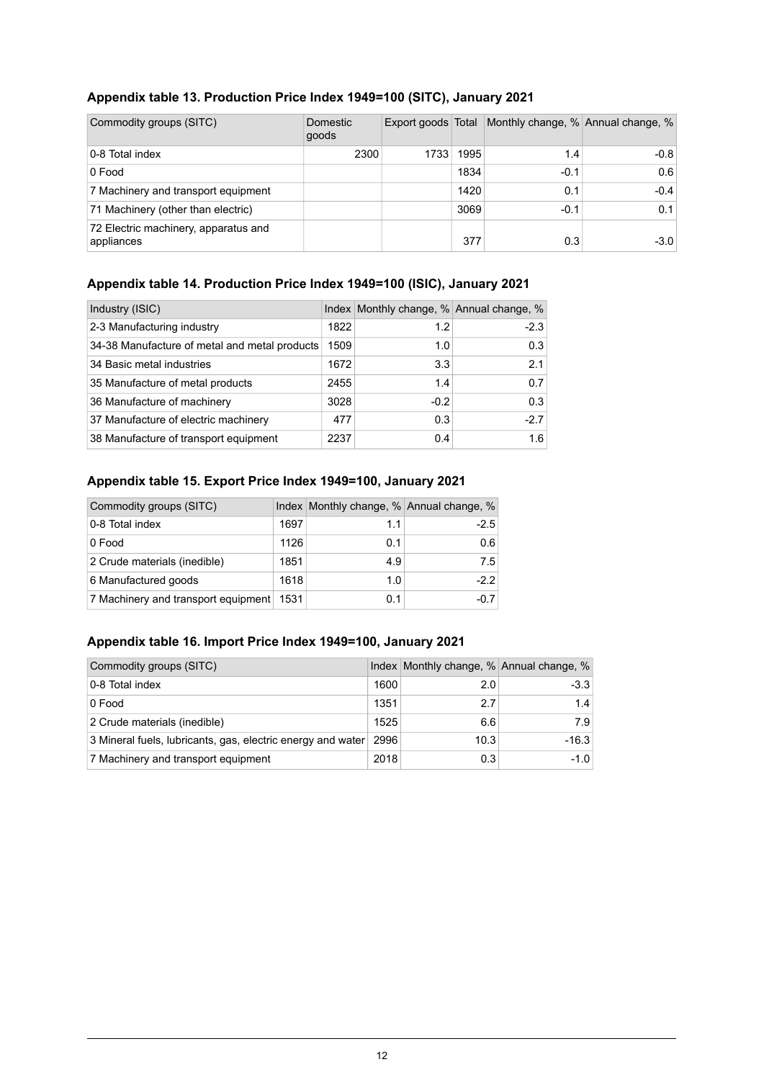<span id="page-11-0"></span>

| Appendix table 13. Production Price Index 1949=100 (SITC), January 2021 |  |  |  |  |  |
|-------------------------------------------------------------------------|--|--|--|--|--|
|-------------------------------------------------------------------------|--|--|--|--|--|

| Commodity groups (SITC)                            | Domestic<br>goods | Export goods Total |      | Monthly change, % Annual change, % |        |
|----------------------------------------------------|-------------------|--------------------|------|------------------------------------|--------|
| 0-8 Total index                                    | 2300              | 1733               | 1995 | 1.4                                | $-0.8$ |
| 0 Food                                             |                   |                    | 1834 | $-0.1$                             | 0.6    |
| 7 Machinery and transport equipment                |                   |                    | 1420 | 0.1                                | $-0.4$ |
| 71 Machinery (other than electric)                 |                   |                    | 3069 | $-0.1$                             | 0.1    |
| 72 Electric machinery, apparatus and<br>appliances |                   |                    | 377  | 0.3                                | $-3.0$ |

## <span id="page-11-1"></span>**Appendix table 14. Production Price Index 1949=100 (ISIC), January 2021**

| Industry (ISIC)                               |      | Index Monthly change, % Annual change, % |        |
|-----------------------------------------------|------|------------------------------------------|--------|
| 2-3 Manufacturing industry                    | 1822 | 1.2                                      | $-2.3$ |
| 34-38 Manufacture of metal and metal products | 1509 | 1.0                                      | 0.3    |
| 34 Basic metal industries                     | 1672 | 3.3                                      | 2.1    |
| 35 Manufacture of metal products              | 2455 | 1.4                                      | 0.7    |
| 36 Manufacture of machinery                   | 3028 | $-0.2$                                   | 0.3    |
| 37 Manufacture of electric machinery          | 477  | 0.3                                      | $-2.7$ |
| 38 Manufacture of transport equipment         | 2237 | 0.4                                      | 1.6    |

#### <span id="page-11-2"></span>**Appendix table 15. Export Price Index 1949=100, January 2021**

| Commodity groups (SITC)                  |      | Index Monthly change, % Annual change, % |        |
|------------------------------------------|------|------------------------------------------|--------|
| 0-8 Total index                          | 1697 | 1.1                                      | $-2.5$ |
| 0 Food                                   | 1126 | 0.1                                      | 0.6    |
| 2 Crude materials (inedible)             | 1851 | 4.9                                      | 7.5    |
| 6 Manufactured goods                     | 1618 | 1.0                                      | $-2.2$ |
| 7 Machinery and transport equipment 1531 |      | 0.1                                      | $-0.7$ |

## <span id="page-11-3"></span>**Appendix table 16. Import Price Index 1949=100, January 2021**

| Commodity groups (SITC)                                     |      | Index Monthly change, % Annual change, % |         |
|-------------------------------------------------------------|------|------------------------------------------|---------|
| 0-8 Total index                                             | 1600 | 2.0                                      | $-3.3$  |
| 0 Food                                                      | 1351 | 2.7                                      | 1.4     |
| 2 Crude materials (inedible)                                | 1525 | 6.6                                      | 7.9     |
| 3 Mineral fuels, lubricants, gas, electric energy and water | 2996 | 10.3                                     | $-16.3$ |
| 7 Machinery and transport equipment                         | 2018 | 0.3                                      | $-1.0$  |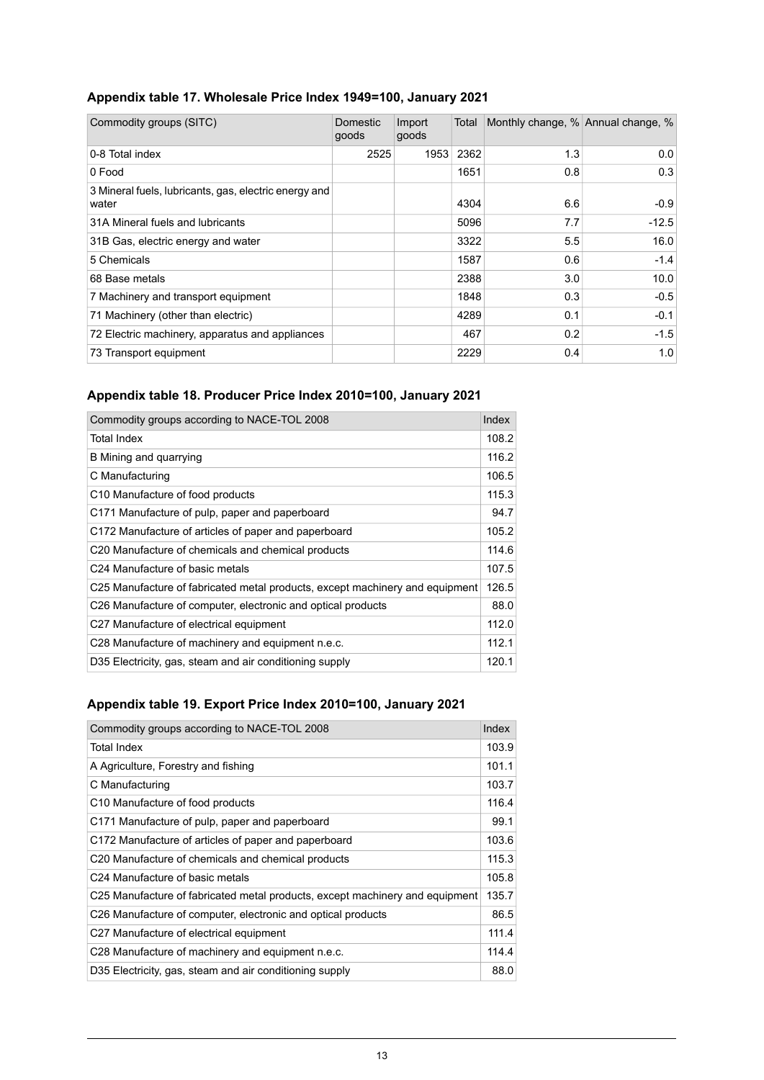<span id="page-12-0"></span>

|  | Appendix table 17. Wholesale Price Index 1949=100, January 2021 |  |  |  |  |
|--|-----------------------------------------------------------------|--|--|--|--|
|--|-----------------------------------------------------------------|--|--|--|--|

| Commodity groups (SITC)                                        | Domestic<br>goods | Import<br>goods | Total | Monthly change, % Annual change, % |         |
|----------------------------------------------------------------|-------------------|-----------------|-------|------------------------------------|---------|
| 0-8 Total index                                                | 2525              | 1953            | 2362  | 1.3                                | 0.0     |
| 0 Food                                                         |                   |                 | 1651  | 0.8                                | 0.3     |
| 3 Mineral fuels, lubricants, gas, electric energy and<br>water |                   |                 | 4304  | 6.6                                | $-0.9$  |
| 31A Mineral fuels and lubricants                               |                   |                 | 5096  | 7.7                                | $-12.5$ |
| 31B Gas, electric energy and water                             |                   |                 | 3322  | 5.5                                | 16.0    |
| 5 Chemicals                                                    |                   |                 | 1587  | 0.6                                | $-1.4$  |
| 68 Base metals                                                 |                   |                 | 2388  | 3.0                                | 10.0    |
| 7 Machinery and transport equipment                            |                   |                 | 1848  | 0.3                                | $-0.5$  |
| 71 Machinery (other than electric)                             |                   |                 | 4289  | 0.1                                | $-0.1$  |
| 72 Electric machinery, apparatus and appliances                |                   |                 | 467   | 0.2                                | $-1.5$  |
| 73 Transport equipment                                         |                   |                 | 2229  | 0.4                                | 1.0     |

## <span id="page-12-1"></span>**Appendix table 18. Producer Price Index 2010=100, January 2021**

| Commodity groups according to NACE-TOL 2008                                  | Index |
|------------------------------------------------------------------------------|-------|
| Total Index                                                                  | 108.2 |
| B Mining and quarrying                                                       | 116.2 |
| C Manufacturing                                                              | 106.5 |
| C10 Manufacture of food products                                             | 115.3 |
| C171 Manufacture of pulp, paper and paperboard                               | 94.7  |
| C172 Manufacture of articles of paper and paperboard                         | 105.2 |
| C20 Manufacture of chemicals and chemical products                           | 114.6 |
| C24 Manufacture of basic metals                                              | 107.5 |
| C25 Manufacture of fabricated metal products, except machinery and equipment | 126.5 |
| C26 Manufacture of computer, electronic and optical products                 | 88.0  |
| C27 Manufacture of electrical equipment                                      | 112.0 |
| C28 Manufacture of machinery and equipment n.e.c.                            | 112.1 |
| D35 Electricity, gas, steam and air conditioning supply                      | 120.1 |

## <span id="page-12-2"></span>**Appendix table 19. Export Price Index 2010=100, January 2021**

| Commodity groups according to NACE-TOL 2008                                  | Index |
|------------------------------------------------------------------------------|-------|
| Total Index                                                                  | 103.9 |
| A Agriculture, Forestry and fishing                                          | 101.1 |
| C Manufacturing                                                              | 103.7 |
| C10 Manufacture of food products                                             | 116.4 |
| C171 Manufacture of pulp, paper and paperboard                               | 99.1  |
| C172 Manufacture of articles of paper and paperboard                         | 103.6 |
| C <sub>20</sub> Manufacture of chemicals and chemical products               | 115.3 |
| C24 Manufacture of basic metals                                              | 105.8 |
| C25 Manufacture of fabricated metal products, except machinery and equipment | 135.7 |
| C26 Manufacture of computer, electronic and optical products                 | 86.5  |
| C27 Manufacture of electrical equipment                                      | 111.4 |
| C28 Manufacture of machinery and equipment n.e.c.                            | 114.4 |
| D35 Electricity, gas, steam and air conditioning supply                      | 88.0  |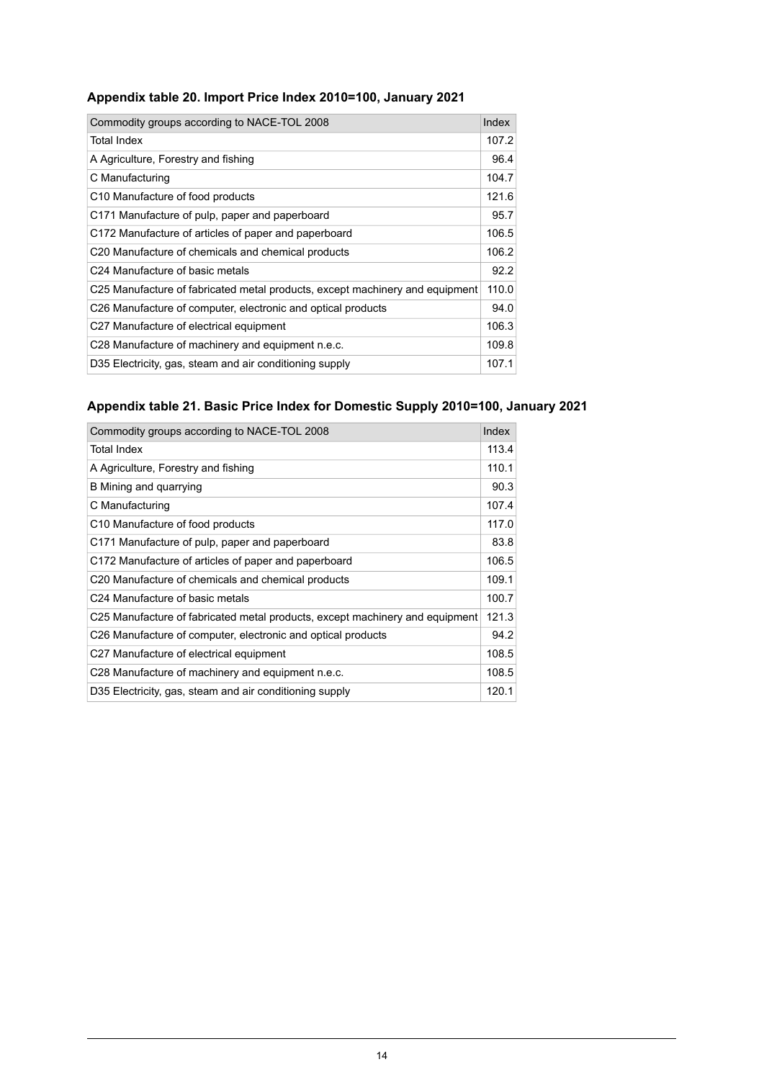<span id="page-13-0"></span>

| Commodity groups according to NACE-TOL 2008                                  | Index |
|------------------------------------------------------------------------------|-------|
| Total Index                                                                  | 107.2 |
| A Agriculture, Forestry and fishing                                          | 96.4  |
| C Manufacturing                                                              | 104.7 |
| C10 Manufacture of food products                                             | 121.6 |
| C171 Manufacture of pulp, paper and paperboard                               | 95.7  |
| C172 Manufacture of articles of paper and paperboard                         | 106.5 |
| C <sub>20</sub> Manufacture of chemicals and chemical products               | 106.2 |
| C24 Manufacture of basic metals                                              | 92.2  |
| C25 Manufacture of fabricated metal products, except machinery and equipment | 110.0 |
| C26 Manufacture of computer, electronic and optical products                 | 94.0  |
| C27 Manufacture of electrical equipment                                      | 106.3 |
| C28 Manufacture of machinery and equipment n.e.c.                            | 109.8 |
| D35 Electricity, gas, steam and air conditioning supply                      | 107.1 |

## <span id="page-13-1"></span>**Appendix table 21. Basic Price Index for Domestic Supply 2010=100, January 2021**

| Commodity groups according to NACE-TOL 2008                                  | Index |
|------------------------------------------------------------------------------|-------|
| <b>Total Index</b>                                                           | 113.4 |
| A Agriculture, Forestry and fishing                                          | 110.1 |
| B Mining and quarrying                                                       | 90.3  |
| C Manufacturing                                                              | 107.4 |
| C <sub>10</sub> Manufacture of food products                                 | 117.0 |
| C171 Manufacture of pulp, paper and paperboard                               | 83.8  |
| C172 Manufacture of articles of paper and paperboard                         | 106.5 |
| C20 Manufacture of chemicals and chemical products                           | 109.1 |
| C24 Manufacture of basic metals                                              | 100.7 |
| C25 Manufacture of fabricated metal products, except machinery and equipment | 121.3 |
| C <sub>26</sub> Manufacture of computer, electronic and optical products     | 94.2  |
| C27 Manufacture of electrical equipment                                      | 108.5 |
| C28 Manufacture of machinery and equipment n.e.c.                            | 108.5 |
| D35 Electricity, gas, steam and air conditioning supply                      | 120.1 |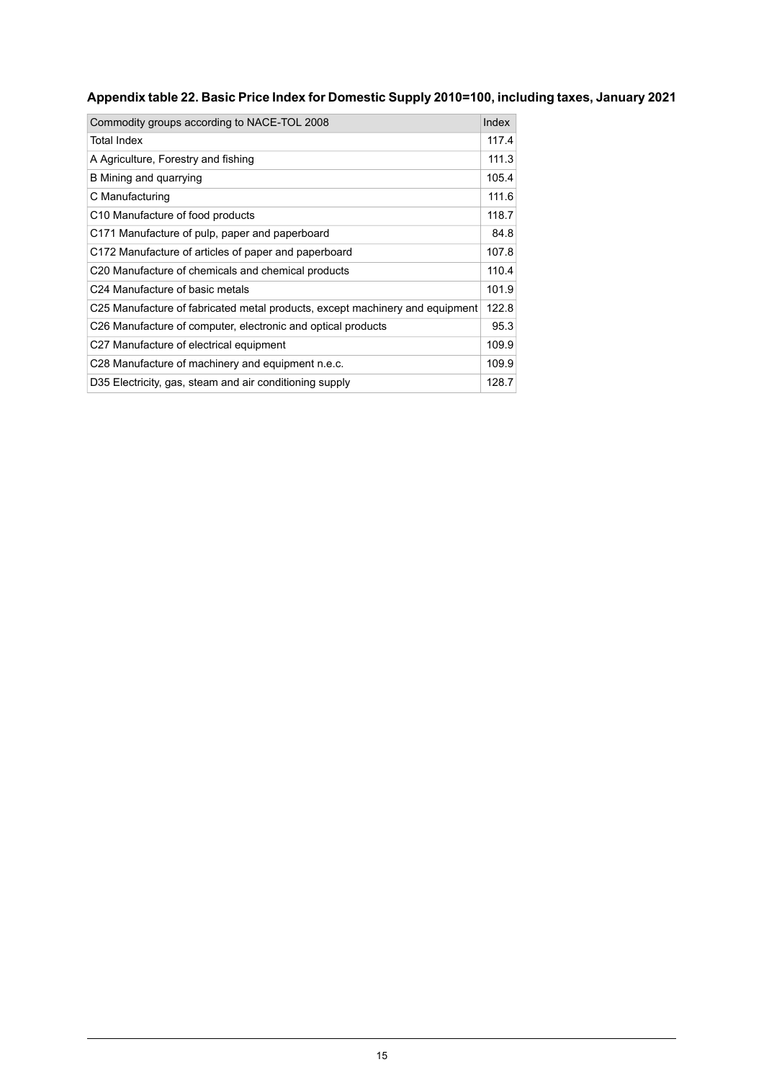## <span id="page-14-0"></span>**Appendixtable22. Basic PriceIndexfor Domestic Supply2010=100, including taxes,January2021**

| Commodity groups according to NACE-TOL 2008                                  | Index |
|------------------------------------------------------------------------------|-------|
| <b>Total Index</b>                                                           | 117.4 |
| A Agriculture, Forestry and fishing                                          | 111.3 |
| B Mining and quarrying                                                       | 105.4 |
| C Manufacturing                                                              | 111.6 |
| C <sub>10</sub> Manufacture of food products                                 | 118.7 |
| C171 Manufacture of pulp, paper and paperboard                               | 84.8  |
| C172 Manufacture of articles of paper and paperboard                         | 107.8 |
| C20 Manufacture of chemicals and chemical products                           | 110.4 |
| C24 Manufacture of basic metals                                              | 101.9 |
| C25 Manufacture of fabricated metal products, except machinery and equipment | 122.8 |
| C26 Manufacture of computer, electronic and optical products                 | 95.3  |
| C27 Manufacture of electrical equipment                                      | 109.9 |
| C28 Manufacture of machinery and equipment n.e.c.                            | 109.9 |
| D35 Electricity, gas, steam and air conditioning supply                      | 128.7 |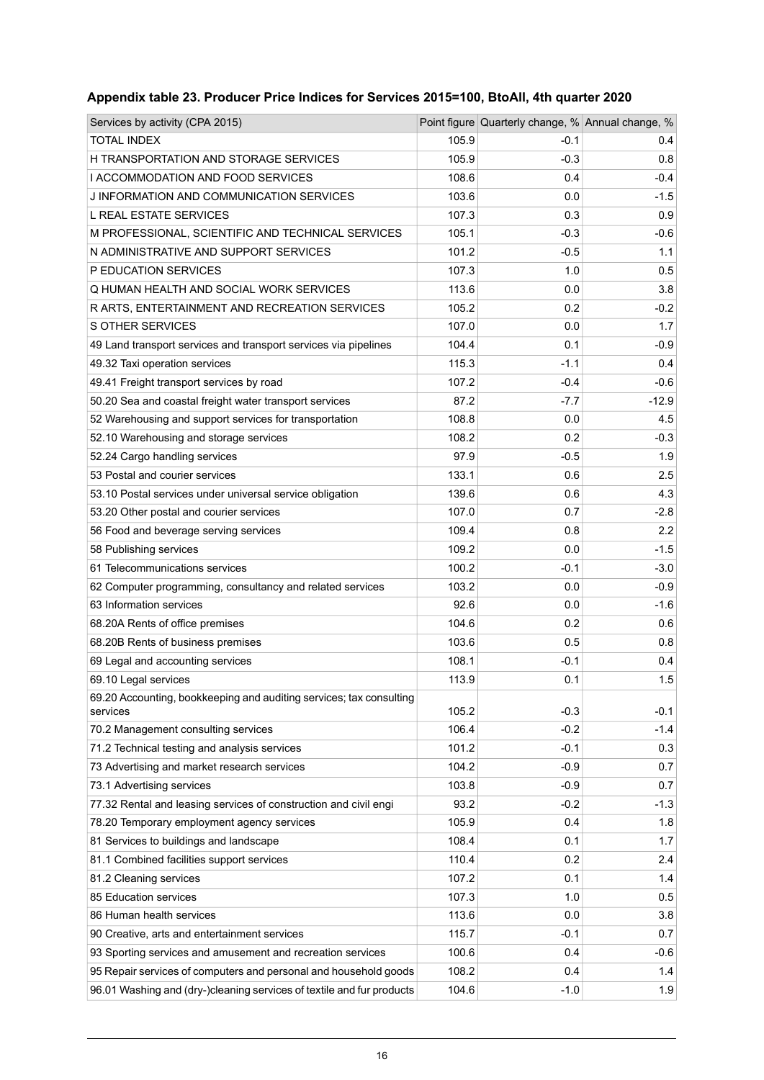| Services by activity (CPA 2015)                                       |       | Point figure Quarterly change, % Annual change, % |         |
|-----------------------------------------------------------------------|-------|---------------------------------------------------|---------|
| TOTAL INDEX                                                           | 105.9 | $-0.1$                                            | 0.4     |
| H TRANSPORTATION AND STORAGE SERVICES                                 | 105.9 | $-0.3$                                            | 0.8     |
| I ACCOMMODATION AND FOOD SERVICES                                     | 108.6 | 0.4                                               | $-0.4$  |
| J INFORMATION AND COMMUNICATION SERVICES                              | 103.6 | 0.0                                               | $-1.5$  |
| L REAL ESTATE SERVICES                                                | 107.3 | 0.3                                               | 0.9     |
| M PROFESSIONAL, SCIENTIFIC AND TECHNICAL SERVICES                     | 105.1 | $-0.3$                                            | $-0.6$  |
| N ADMINISTRATIVE AND SUPPORT SERVICES                                 | 101.2 | $-0.5$                                            | 1.1     |
| P EDUCATION SERVICES                                                  | 107.3 | 1.0                                               | 0.5     |
| Q HUMAN HEALTH AND SOCIAL WORK SERVICES                               | 113.6 | 0.0                                               | 3.8     |
| R ARTS, ENTERTAINMENT AND RECREATION SERVICES                         | 105.2 | 0.2                                               | $-0.2$  |
| S OTHER SERVICES                                                      | 107.0 | 0.0                                               | 1.7     |
| 49 Land transport services and transport services via pipelines       | 104.4 | 0.1                                               | $-0.9$  |
| 49.32 Taxi operation services                                         | 115.3 | $-1.1$                                            | 0.4     |
| 49.41 Freight transport services by road                              | 107.2 | $-0.4$                                            | $-0.6$  |
| 50.20 Sea and coastal freight water transport services                | 87.2  | $-7.7$                                            | $-12.9$ |
| 52 Warehousing and support services for transportation                | 108.8 | 0.0                                               | 4.5     |
| 52.10 Warehousing and storage services                                | 108.2 | 0.2                                               | $-0.3$  |
| 52.24 Cargo handling services                                         | 97.9  | $-0.5$                                            | 1.9     |
| 53 Postal and courier services                                        | 133.1 | 0.6                                               | 2.5     |
| 53.10 Postal services under universal service obligation              | 139.6 | 0.6                                               | 4.3     |
| 53.20 Other postal and courier services                               | 107.0 | 0.7                                               | $-2.8$  |
| 56 Food and beverage serving services                                 | 109.4 | 0.8                                               | 2.2     |
| 58 Publishing services                                                | 109.2 | 0.0                                               | $-1.5$  |
| 61 Telecommunications services                                        | 100.2 | $-0.1$                                            | $-3.0$  |
| 62 Computer programming, consultancy and related services             | 103.2 | 0.0                                               | $-0.9$  |
| 63 Information services                                               | 92.6  | 0.0                                               | $-1.6$  |
| 68.20A Rents of office premises                                       | 104.6 | 0.2                                               | 0.6     |
| 68.20B Rents of business premises                                     | 103.6 | 0.5                                               | 0.8     |
| 69 Legal and accounting services                                      | 108.1 | $-0.1$                                            | 0.4     |
| 69.10 Legal services                                                  | 113.9 | 0.1                                               | 1.5     |
| 69.20 Accounting, bookkeeping and auditing services; tax consulting   |       |                                                   |         |
| services                                                              | 105.2 | $-0.3$                                            | $-0.1$  |
| 70.2 Management consulting services                                   | 106.4 | $-0.2$                                            | $-1.4$  |
| 71.2 Technical testing and analysis services                          | 101.2 | $-0.1$                                            | 0.3     |
| 73 Advertising and market research services                           | 104.2 | $-0.9$                                            | 0.7     |
| 73.1 Advertising services                                             | 103.8 | $-0.9$                                            | 0.7     |
| 77.32 Rental and leasing services of construction and civil engi      | 93.2  | $-0.2$                                            | $-1.3$  |
| 78.20 Temporary employment agency services                            | 105.9 | 0.4                                               | 1.8     |
| 81 Services to buildings and landscape                                | 108.4 | 0.1                                               | 1.7     |
| 81.1 Combined facilities support services                             | 110.4 | 0.2                                               | 2.4     |
| 81.2 Cleaning services                                                | 107.2 | 0.1                                               | 1.4     |
| 85 Education services                                                 | 107.3 | 1.0                                               | 0.5     |
| 86 Human health services                                              | 113.6 | 0.0                                               | 3.8     |
| 90 Creative, arts and entertainment services                          | 115.7 | $-0.1$                                            | 0.7     |
| 93 Sporting services and amusement and recreation services            | 100.6 | 0.4                                               | $-0.6$  |
| 95 Repair services of computers and personal and household goods      | 108.2 | 0.4                                               | 1.4     |
| 96.01 Washing and (dry-)cleaning services of textile and fur products | 104.6 | $-1.0$                                            | 1.9     |

## <span id="page-15-0"></span>**Appendix table 23. Producer Price Indices for Services 2015=100, BtoAll, 4th quarter 2020**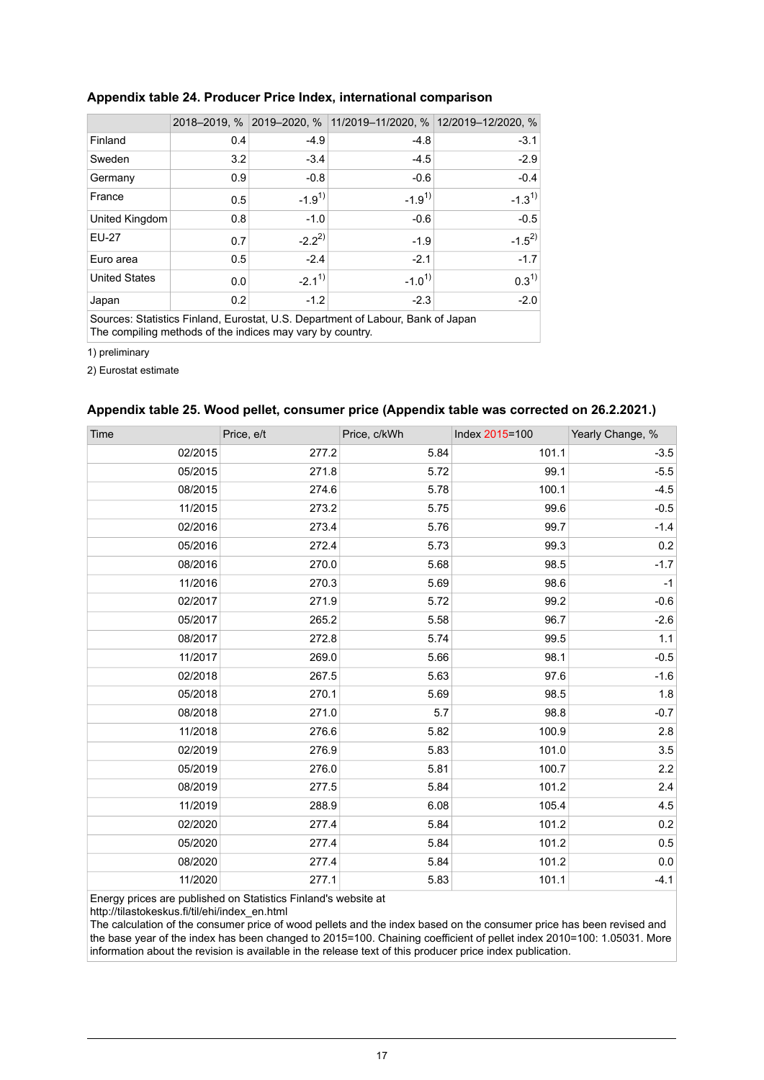|                                                                                 |     |            | 2018-2019, % 2019-2020, % 11/2019-11/2020, % 12/2019-12/2020, % |            |  |  |
|---------------------------------------------------------------------------------|-----|------------|-----------------------------------------------------------------|------------|--|--|
| Finland                                                                         | 0.4 | $-4.9$     | $-4.8$                                                          | $-3.1$     |  |  |
| Sweden                                                                          | 3.2 | $-3.4$     | $-4.5$                                                          | $-2.9$     |  |  |
| Germany                                                                         | 0.9 | $-0.8$     | $-0.6$                                                          | $-0.4$     |  |  |
| France                                                                          | 0.5 | $-1.9^{1}$ | $-1.9^{1}$                                                      | $-1.3^{1}$ |  |  |
| United Kingdom                                                                  | 0.8 | $-1.0$     | $-0.6$                                                          | $-0.5$     |  |  |
| <b>EU-27</b>                                                                    | 0.7 | $-2.2^{2}$ | $-1.9$                                                          | $-1.5^{2}$ |  |  |
| Euro area                                                                       | 0.5 | $-2.4$     | $-2.1$                                                          | $-1.7$     |  |  |
| <b>United States</b>                                                            | 0.0 | $-2.1^{1}$ | $-1.0^{1}$                                                      | $0.3^{1}$  |  |  |
| Japan                                                                           | 0.2 | $-1.2$     | $-2.3$                                                          | $-2.0$     |  |  |
| Courses: Ctatistics Finland, Fursatet, U.C. Department of Labour, Dank of Japan |     |            |                                                                 |            |  |  |

#### <span id="page-16-0"></span>**Appendix table 24. Producer Price Index, international comparison**

Sources: Statistics Finland, Eurostat, U.S. Department of Labour, Bank of Japan The compiling methods of the indices may vary by country.

1) preliminary

<span id="page-16-1"></span>2) Eurostat estimate

#### **Appendix table 25. Wood pellet, consumer price (Appendix table was corrected on 26.2.2021.)**

| Time    | Price, e/t | Price, c/kWh | Index 2015=100 | Yearly Change, % |
|---------|------------|--------------|----------------|------------------|
| 02/2015 | 277.2      | 5.84         | 101.1          | $-3.5$           |
| 05/2015 | 271.8      | 5.72         | 99.1           | $-5.5$           |
| 08/2015 | 274.6      | 5.78         | 100.1          | $-4.5$           |
| 11/2015 | 273.2      | 5.75         | 99.6           | $-0.5$           |
| 02/2016 | 273.4      | 5.76         | 99.7           | $-1.4$           |
| 05/2016 | 272.4      | 5.73         | 99.3           | $0.2\,$          |
| 08/2016 | 270.0      | 5.68         | 98.5           | $-1.7$           |
| 11/2016 | 270.3      | 5.69         | 98.6           | $-1$             |
| 02/2017 | 271.9      | 5.72         | 99.2           | $-0.6$           |
| 05/2017 | 265.2      | 5.58         | 96.7           | $-2.6$           |
| 08/2017 | 272.8      | 5.74         | 99.5           | 1.1              |
| 11/2017 | 269.0      | 5.66         | 98.1           | $-0.5$           |
| 02/2018 | 267.5      | 5.63         | 97.6           | $-1.6$           |
| 05/2018 | 270.1      | 5.69         | 98.5           | 1.8              |
| 08/2018 | 271.0      | 5.7          | 98.8           | $-0.7$           |
| 11/2018 | 276.6      | 5.82         | 100.9          | 2.8              |
| 02/2019 | 276.9      | 5.83         | 101.0          | 3.5              |
| 05/2019 | 276.0      | 5.81         | 100.7          | 2.2              |
| 08/2019 | 277.5      | 5.84         | 101.2          | 2.4              |
| 11/2019 | 288.9      | 6.08         | 105.4          | 4.5              |
| 02/2020 | 277.4      | 5.84         | 101.2          | 0.2              |
| 05/2020 | 277.4      | 5.84         | 101.2          | 0.5              |
| 08/2020 | 277.4      | 5.84         | 101.2          | 0.0              |
| 11/2020 | 277.1      | 5.83         | 101.1          | $-4.1$           |

Energy prices are published on Statistics Finland's website at

http://tilastokeskus.fi/til/ehi/index\_en.html

The calculation of the consumer price of wood pellets and the index based on the consumer price has been revised and the base year of the index has been changed to 2015=100. Chaining coefficient of pellet index 2010=100: 1.05031. More information about the revision is available in the release text of this producer price index publication.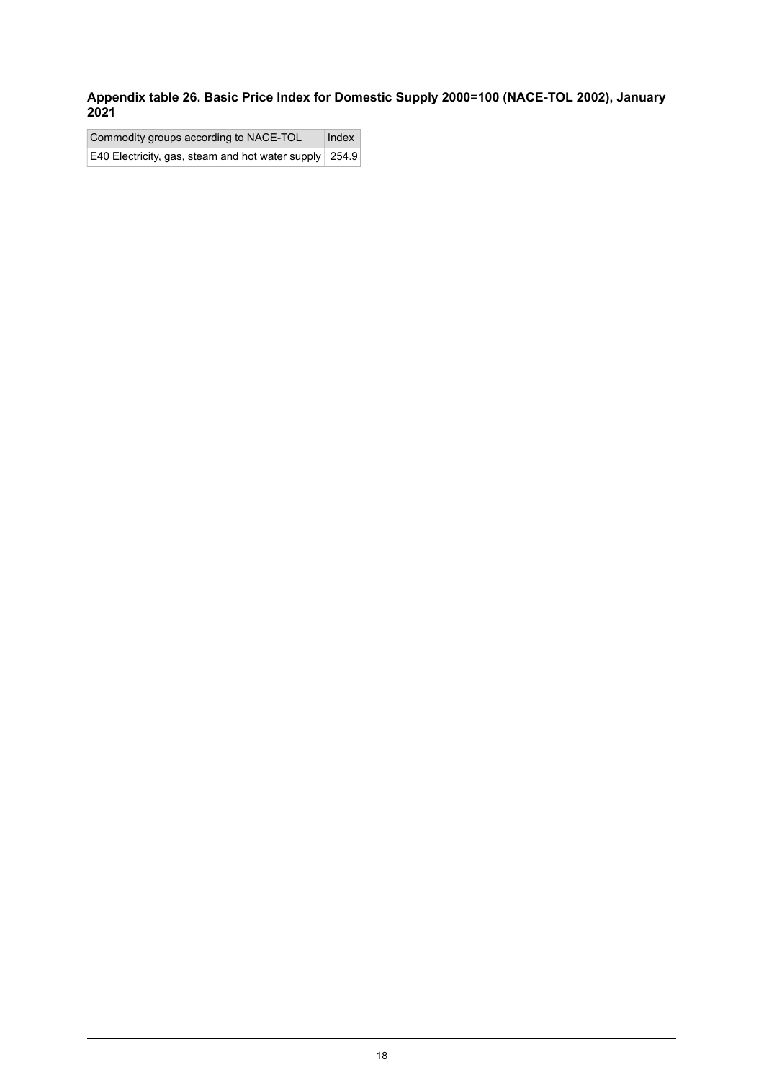<span id="page-17-0"></span>**Appendix table 26. Basic Price Index for Domestic Supply 2000=100 (NACE-TOL 2002), January 2021**

Commodity groups according to NACE-TOL | Index E40 Electricity, gas, steam and hot water supply 254.9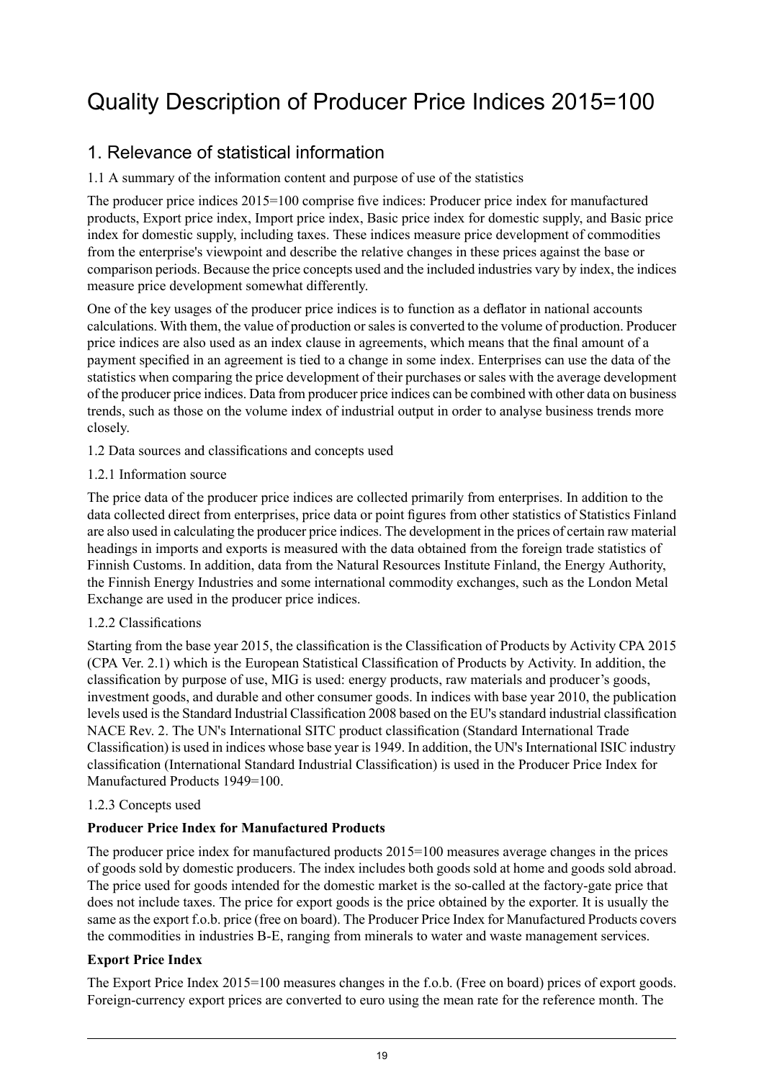## <span id="page-18-0"></span>Quality Description of Producer Price Indices 2015=100

## 1. Relevance of statistical information

#### 1.1 A summary of the information content and purpose of use of the statistics

The producer price indices 2015=100 comprise five indices: Producer price index for manufactured products, Export price index, Import price index, Basic price index for domestic supply, and Basic price index for domestic supply, including taxes. These indices measure price development of commodities from the enterprise's viewpoint and describe the relative changes in these prices against the base or comparison periods. Because the price concepts used and the included industries vary by index, the indices measure price development somewhat differently.

One of the key usages of the producer price indices is to function as a deflator in national accounts calculations. With them, the value of production orsalesis converted to the volume of production. Producer price indices are also used as an index clause in agreements, which means that the final amount of a payment specified in an agreement is tied to a change in some index. Enterprises can use the data of the statistics when comparing the price development of their purchases or sales with the average development of the producer price indices. Data from producer price indices can be combined with other data on business trends, such as those on the volume index of industrial output in order to analyse business trends more closely.

- 1.2 Data sources and classifications and concepts used
- 1.2.1 Information source

The price data of the producer price indices are collected primarily from enterprises. In addition to the data collected direct from enterprises, price data or point figures from other statistics of Statistics Finland are also used in calculating the producer price indices. The development in the prices of certain raw material headings in imports and exports is measured with the data obtained from the foreign trade statistics of Finnish Customs. In addition, data from the Natural Resources Institute Finland, the Energy Authority, the Finnish Energy Industries and some international commodity exchanges, such as the London Metal Exchange are used in the producer price indices.

#### 1.2.2 Classifications

Starting from the base year 2015, the classification is the Classification of Products by Activity CPA 2015 (CPA Ver. 2.1) which is the European Statistical Classification of Products by Activity. In addition, the classification by purpose of use, MIG is used: energy products, raw materials and producer's goods, investment goods, and durable and other consumer goods. In indices with base year 2010, the publication levels used is the Standard Industrial Classification 2008 based on the EU's standard industrial classification NACE Rev. 2. The UN's International SITC product classification (Standard International Trade Classification) is used in indices whose base year is 1949. In addition, the UN's International ISIC industry classification (International Standard Industrial Classification) is used in the Producer Price Index for Manufactured Products 1949=100.

#### 1.2.3 Concepts used

### **Producer Price Index for Manufactured Products**

The producer price index for manufactured products 2015=100 measures average changes in the prices of goods sold by domestic producers. The index includes both goods sold at home and goods sold abroad. The price used for goods intended for the domestic market is the so-called at the factory-gate price that does not include taxes. The price for export goods is the price obtained by the exporter. It is usually the same as the export f.o.b. price (free on board). The Producer Price Index for Manufactured Products covers the commodities in industries B-E, ranging from minerals to water and waste management services.

### **Export Price Index**

The Export Price Index 2015=100 measures changes in the f.o.b. (Free on board) prices of export goods. Foreign-currency export prices are converted to euro using the mean rate for the reference month. The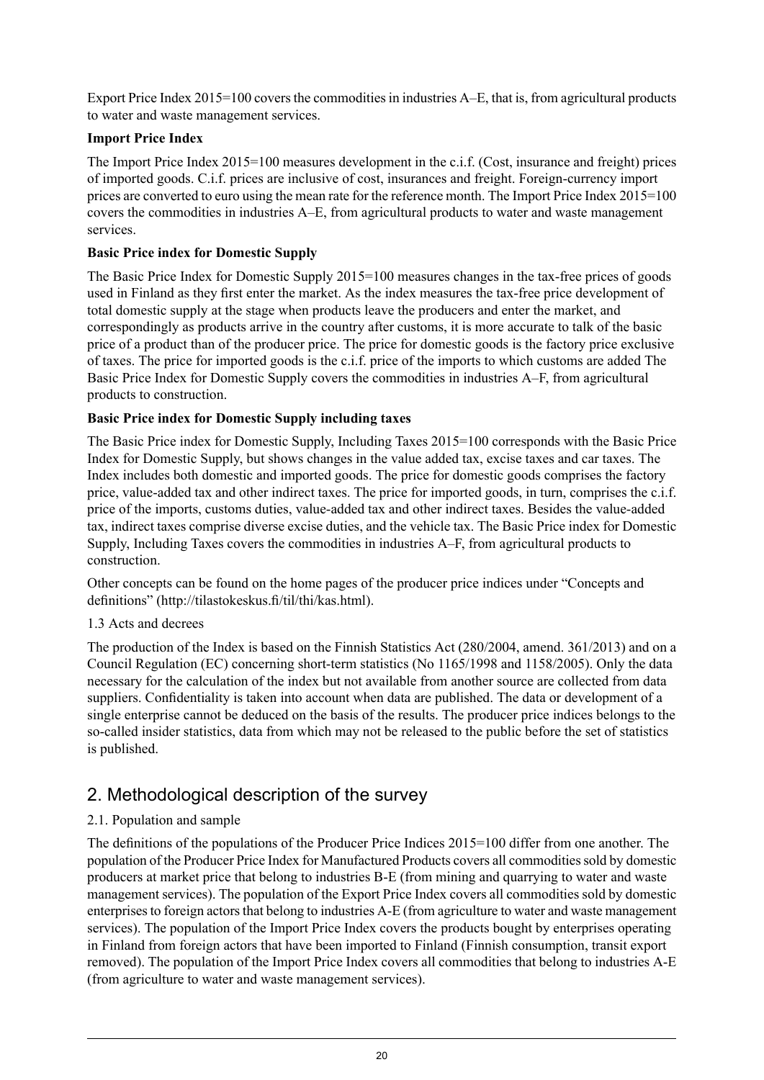Export Price Index 2015=100 covers the commodities in industries A–E, that is, from agricultural products to water and waste management services.

### **Import Price Index**

The Import Price Index 2015=100 measures development in the c.i.f. (Cost, insurance and freight) prices of imported goods. C.i.f. prices are inclusive of cost, insurances and freight. Foreign-currency import prices are converted to euro using the mean rate for the reference month. The Import Price Index 2015=100 covers the commodities in industries A–E, from agricultural products to water and waste management services.

#### **Basic Price index for Domestic Supply**

The Basic Price Index for Domestic Supply 2015=100 measures changes in the tax-free prices of goods used in Finland as they first enter the market. As the index measures the tax-free price development of total domestic supply at the stage when products leave the producers and enter the market, and correspondingly as products arrive in the country after customs, it is more accurate to talk of the basic price of a product than of the producer price. The price for domestic goods is the factory price exclusive of taxes. The price for imported goods is the c.i.f. price of the imports to which customs are added The Basic Price Index for Domestic Supply covers the commodities in industries A–F, from agricultural products to construction.

#### **Basic Price index for Domestic Supply including taxes**

The Basic Price index for Domestic Supply, Including Taxes 2015=100 corresponds with the Basic Price Index for Domestic Supply, but shows changes in the value added tax, excise taxes and car taxes. The Index includes both domestic and imported goods. The price for domestic goods comprises the factory price, value-added tax and other indirect taxes. The price for imported goods, in turn, comprises the c.i.f. price of the imports, customs duties, value-added tax and other indirect taxes. Besides the value-added tax, indirect taxes comprise diverse excise duties, and the vehicle tax. The Basic Price index for Domestic Supply, Including Taxes covers the commodities in industries A–F, from agricultural products to construction.

Other concepts can be found on the home pages of the producer price indices under "Concepts and definitions" (http://tilastokeskus.fi/til/thi/kas.html).

#### 1.3 Acts and decrees

The production of the Index is based on the Finnish Statistics Act (280/2004, amend. 361/2013) and on a Council Regulation (EC) concerning short-term statistics (No 1165/1998 and 1158/2005). Only the data necessary for the calculation of the index but not available from another source are collected from data suppliers. Confidentiality is taken into account when data are published. The data or development of a single enterprise cannot be deduced on the basis of the results. The producer price indices belongs to the so-called insider statistics, data from which may not be released to the public before the set of statistics is published.

## 2. Methodological description of the survey

### 2.1. Population and sample

The definitions of the populations of the Producer Price Indices 2015=100 differ from one another. The population of the Producer Price Index for Manufactured Products covers all commodities sold by domestic producers at market price that belong to industries B-E (from mining and quarrying to water and waste management services). The population of the Export Price Index covers all commodities sold by domestic enterprises to foreign actors that belong to industries A-E (from agriculture to water and waste management services). The population of the Import Price Index covers the products bought by enterprises operating in Finland from foreign actors that have been imported to Finland (Finnish consumption, transit export removed). The population of the Import Price Index covers all commodities that belong to industries A-E (from agriculture to water and waste management services).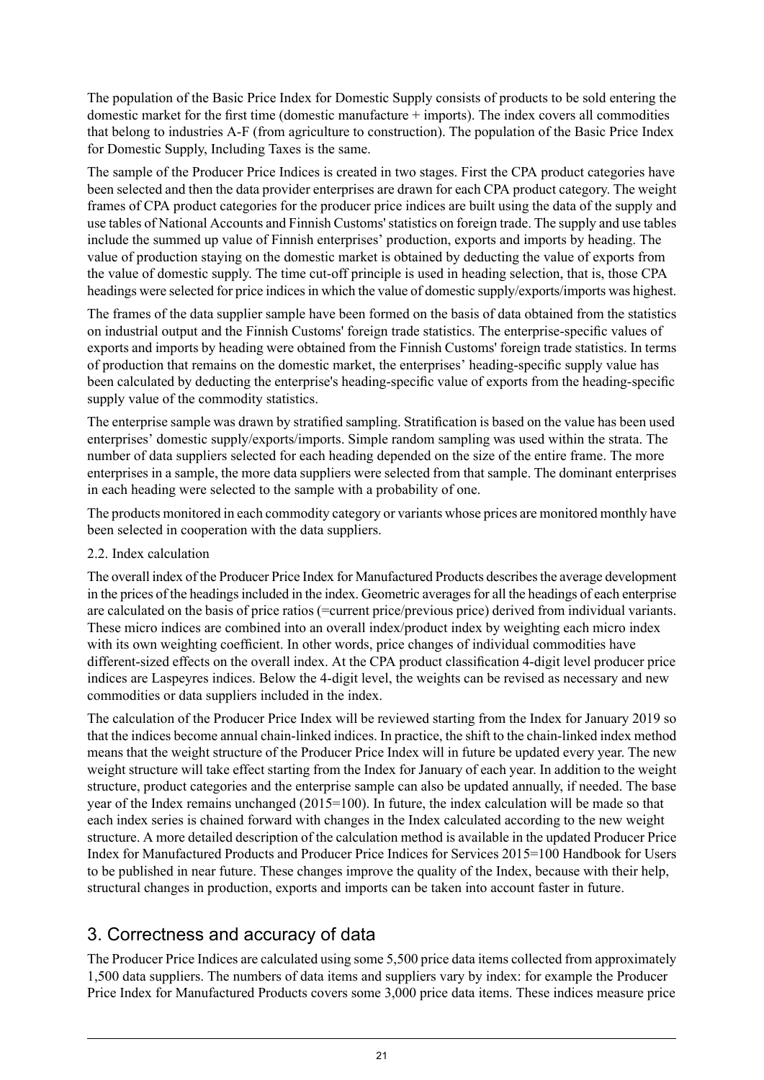The population of the Basic Price Index for Domestic Supply consists of products to be sold entering the domestic market for the first time (domestic manufacture + imports). The index covers all commodities that belong to industries A-F (from agriculture to construction). The population of the Basic Price Index for Domestic Supply, Including Taxes is the same.

The sample of the Producer Price Indices is created in two stages. First the CPA product categories have been selected and then the data provider enterprises are drawn for each CPA product category. The weight frames of CPA product categories for the producer price indices are built using the data of the supply and use tables of National Accounts and Finnish Customs'statistics on foreign trade. The supply and use tables include the summed up value of Finnish enterprises' production, exports and imports by heading. The value of production staying on the domestic market is obtained by deducting the value of exports from the value of domestic supply. The time cut-off principle is used in heading selection, that is, those CPA headings were selected for price indices in which the value of domestic supply/exports/imports was highest.

The frames of the data supplier sample have been formed on the basis of data obtained from the statistics on industrial output and the Finnish Customs' foreign trade statistics. The enterprise-specific values of exports and imports by heading were obtained from the Finnish Customs' foreign trade statistics. In terms of production that remains on the domestic market, the enterprises' heading-specific supply value has been calculated by deducting the enterprise's heading-specific value of exports from the heading-specific supply value of the commodity statistics.

The enterprise sample was drawn by stratified sampling. Stratification is based on the value has been used enterprises' domestic supply/exports/imports. Simple random sampling was used within the strata. The number of data suppliers selected for each heading depended on the size of the entire frame. The more enterprises in a sample, the more data suppliers were selected from that sample. The dominant enterprises in each heading were selected to the sample with a probability of one.

The products monitored in each commodity category or variants whose prices are monitored monthly have been selected in cooperation with the data suppliers.

2.2. Index calculation

The overall index of the Producer Price Index for Manufactured Products describesthe average development in the prices of the headings included in the index. Geometric averages for all the headings of each enterprise are calculated on the basis of price ratios (=current price/previous price) derived from individual variants. These micro indices are combined into an overall index/product index by weighting each micro index with its own weighting coefficient. In other words, price changes of individual commodities have different-sized effects on the overall index. At the CPA product classification 4-digit level producer price indices are Laspeyres indices. Below the 4-digit level, the weights can be revised as necessary and new commodities or data suppliers included in the index.

The calculation of the Producer Price Index will be reviewed starting from the Index for January 2019 so that the indices become annual chain-linked indices. In practice, the shift to the chain-linked index method means that the weight structure of the Producer Price Index will in future be updated every year. The new weight structure will take effect starting from the Index for January of each year. In addition to the weight structure, product categories and the enterprise sample can also be updated annually, if needed. The base year of the Index remains unchanged (2015=100). In future, the index calculation will be made so that each index series is chained forward with changes in the Index calculated according to the new weight structure. A more detailed description of the calculation method is available in the updated Producer Price Index for Manufactured Products and Producer Price Indices for Services 2015=100 Handbook for Users to be published in near future. These changes improve the quality of the Index, because with their help, structural changes in production, exports and imports can be taken into account faster in future.

## 3. Correctness and accuracy of data

The Producer Price Indices are calculated using some 5,500 price data items collected from approximately 1,500 data suppliers. The numbers of data items and suppliers vary by index: for example the Producer Price Index for Manufactured Products covers some 3,000 price data items. These indices measure price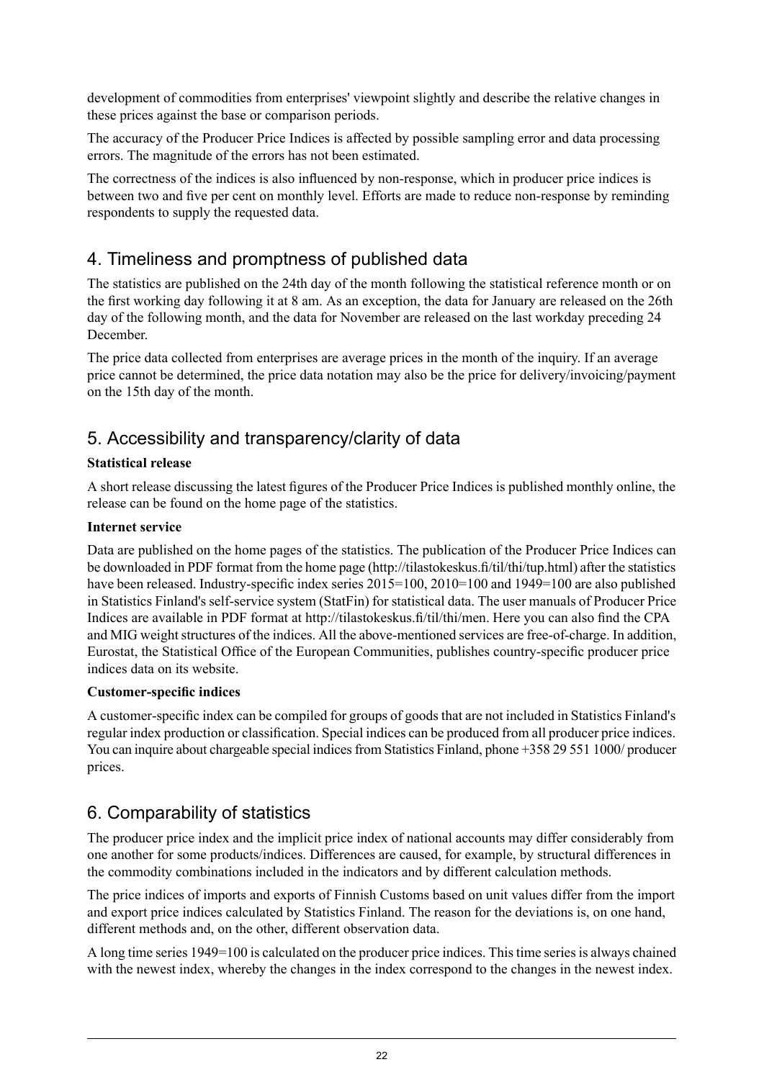development of commodities from enterprises' viewpoint slightly and describe the relative changes in these prices against the base or comparison periods.

The accuracy of the Producer Price Indices is affected by possible sampling error and data processing errors. The magnitude of the errors has not been estimated.

The correctness of the indices is also influenced by non-response, which in producer price indices is between two and five per cent on monthly level. Efforts are made to reduce non-response by reminding respondents to supply the requested data.

## 4. Timeliness and promptness of published data

The statistics are published on the 24th day of the month following the statistical reference month or on the first working day following it at 8 am. As an exception, the data for January are released on the 26th day of the following month, and the data for November are released on the last workday preceding 24 December.

The price data collected from enterprises are average prices in the month of the inquiry. If an average price cannot be determined, the price data notation may also be the price for delivery/invoicing/payment on the 15th day of the month.

## 5. Accessibility and transparency/clarity of data

#### **Statistical release**

A short release discussing the latest figures of the Producer Price Indices is published monthly online, the release can be found on the home page of the statistics.

#### **Internet service**

Data are published on the home pages of the statistics. The publication of the Producer Price Indices can be downloaded in PDF format from the home page (http://tilastokeskus.fi/til/thi/tup.html) after the statistics have been released. Industry-specific index series 2015=100, 2010=100 and 1949=100 are also published in Statistics Finland's self-service system (StatFin) for statistical data. The user manuals of Producer Price Indices are available in PDF format at http://tilastokeskus.fi/til/thi/men. Here you can also find the CPA and MIG weight structures of the indices. All the above-mentioned services are free-of-charge. In addition, Eurostat, the Statistical Office of the European Communities, publishes country-specific producer price indices data on its website.

#### **Customer-specific indices**

A customer-specific index can be compiled for groups of goods that are not included in Statistics Finland's regular index production or classification. Special indices can be produced from all producer price indices. You can inquire about chargeable special indices from Statistics Finland, phone +358 29 551 1000/ producer prices.

## 6. Comparability of statistics

The producer price index and the implicit price index of national accounts may differ considerably from one another for some products/indices. Differences are caused, for example, by structural differences in the commodity combinations included in the indicators and by different calculation methods.

The price indices of imports and exports of Finnish Customs based on unit values differ from the import and export price indices calculated by Statistics Finland. The reason for the deviations is, on one hand, different methods and, on the other, different observation data.

A long time series 1949=100 is calculated on the producer price indices. This time series is always chained with the newest index, whereby the changes in the index correspond to the changes in the newest index.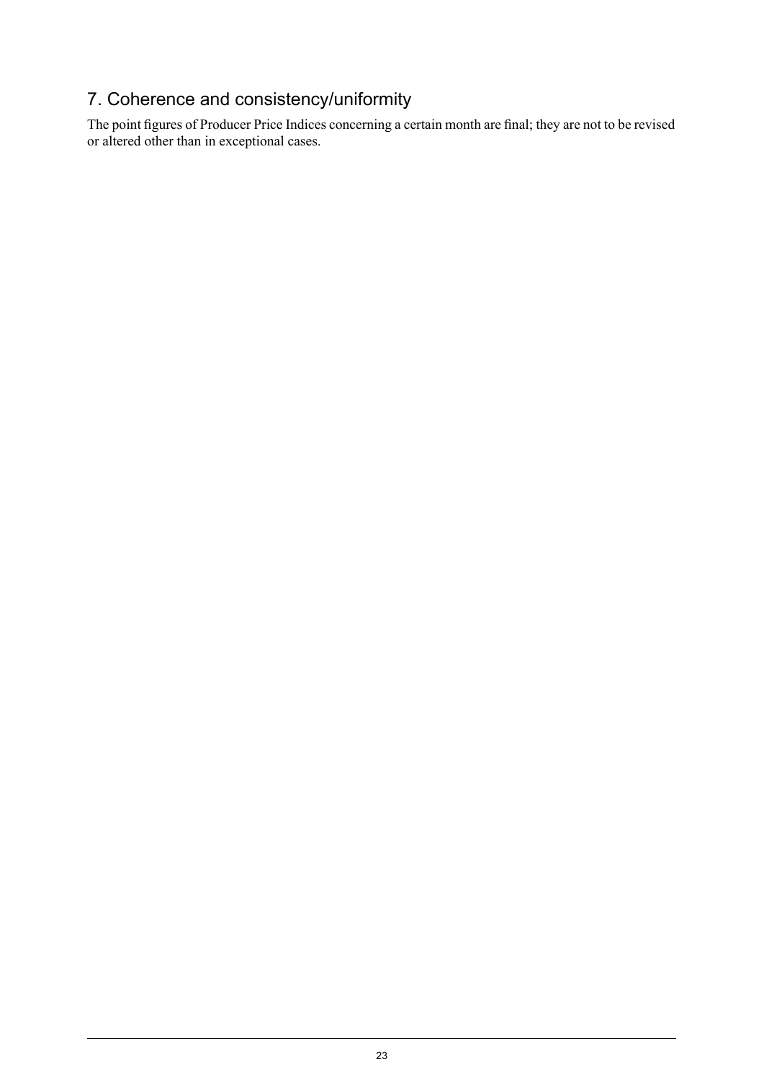## 7. Coherence and consistency/uniformity

The point figures of Producer Price Indices concerning a certain month are final; they are not to be revised or altered other than in exceptional cases.